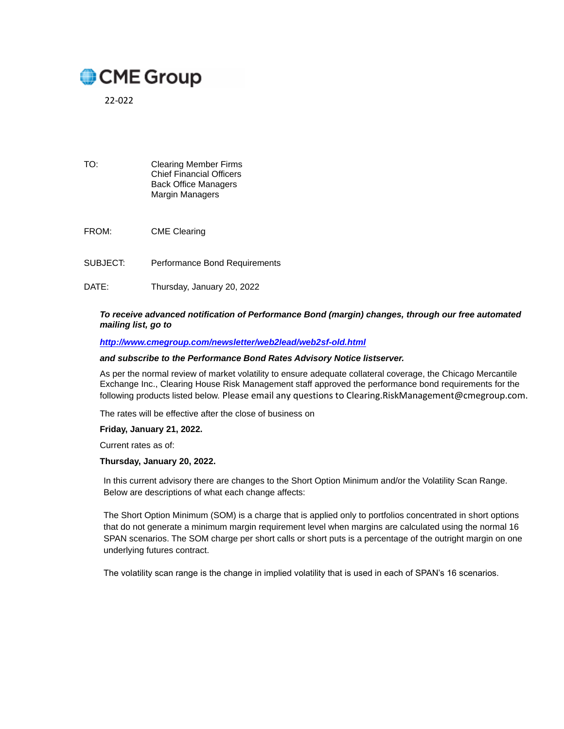# CME Group

22-022

- TO: Clearing Member Firms Chief Financial Officers Back Office Managers Margin Managers
- FROM: CME Clearing
- SUBJECT: Performance Bond Requirements
- DATE: Thursday, January 20, 2022

#### *To receive advanced notification of Performance Bond (margin) changes, through our free automated mailing list, go to*

#### *<http://www.cmegroup.com/newsletter/web2lead/web2sf-old.html>*

#### *and subscribe to the Performance Bond Rates Advisory Notice listserver.*

As per the normal review of market volatility to ensure adequate collateral coverage, the Chicago Mercantile Exchange Inc., Clearing House Risk Management staff approved the performance bond requirements for the following products listed below. Please email any questions to Clearing.RiskManagement@cmegroup.com.

The rates will be effective after the close of business on

#### **Friday, January 21, 2022.**

Current rates as of:

#### **Thursday, January 20, 2022.**

In this current advisory there are changes to the Short Option Minimum and/or the Volatility Scan Range. Below are descriptions of what each change affects:

The Short Option Minimum (SOM) is a charge that is applied only to portfolios concentrated in short options that do not generate a minimum margin requirement level when margins are calculated using the normal 16 SPAN scenarios. The SOM charge per short calls or short puts is a percentage of the outright margin on one underlying futures contract.

The volatility scan range is the change in implied volatility that is used in each of SPAN's 16 scenarios.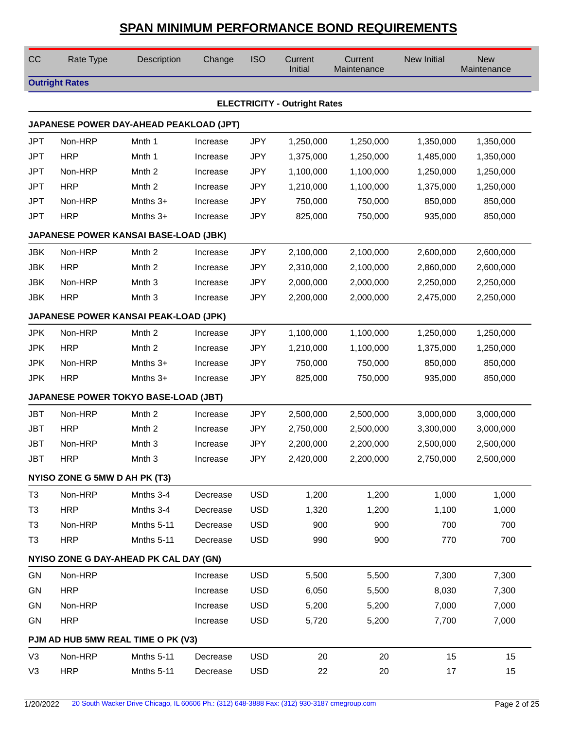| CC             | Rate Type                     | Description                             | Change   | <b>ISO</b> | Current<br>Initial                  | Current<br>Maintenance | <b>New Initial</b> | <b>New</b><br>Maintenance |
|----------------|-------------------------------|-----------------------------------------|----------|------------|-------------------------------------|------------------------|--------------------|---------------------------|
|                | <b>Outright Rates</b>         |                                         |          |            |                                     |                        |                    |                           |
|                |                               |                                         |          |            | <b>ELECTRICITY - Outright Rates</b> |                        |                    |                           |
|                |                               | JAPANESE POWER DAY-AHEAD PEAKLOAD (JPT) |          |            |                                     |                        |                    |                           |
| <b>JPT</b>     | Non-HRP                       | Mnth 1                                  | Increase | <b>JPY</b> | 1,250,000                           | 1,250,000              | 1,350,000          | 1,350,000                 |
| <b>JPT</b>     | <b>HRP</b>                    | Mnth 1                                  | Increase | <b>JPY</b> | 1,375,000                           | 1,250,000              | 1,485,000          | 1,350,000                 |
| <b>JPT</b>     | Non-HRP                       | Mnth <sub>2</sub>                       | Increase | <b>JPY</b> | 1,100,000                           | 1,100,000              | 1,250,000          | 1,250,000                 |
| <b>JPT</b>     | <b>HRP</b>                    | Mnth <sub>2</sub>                       | Increase | <b>JPY</b> | 1,210,000                           | 1,100,000              | 1,375,000          | 1,250,000                 |
| <b>JPT</b>     | Non-HRP                       | Mnths $3+$                              | Increase | <b>JPY</b> | 750,000                             | 750,000                | 850,000            | 850,000                   |
| <b>JPT</b>     | <b>HRP</b>                    | Mnths $3+$                              | Increase | <b>JPY</b> | 825,000                             | 750,000                | 935,000            | 850,000                   |
|                |                               | JAPANESE POWER KANSAI BASE-LOAD (JBK)   |          |            |                                     |                        |                    |                           |
| <b>JBK</b>     | Non-HRP                       | Mnth <sub>2</sub>                       | Increase | <b>JPY</b> | 2,100,000                           | 2,100,000              | 2,600,000          | 2,600,000                 |
| JBK            | <b>HRP</b>                    | Mnth <sub>2</sub>                       | Increase | <b>JPY</b> | 2,310,000                           | 2,100,000              | 2,860,000          | 2,600,000                 |
| <b>JBK</b>     | Non-HRP                       | Mnth <sub>3</sub>                       | Increase | <b>JPY</b> | 2,000,000                           | 2,000,000              | 2,250,000          | 2,250,000                 |
| <b>JBK</b>     | <b>HRP</b>                    | Mnth <sub>3</sub>                       | Increase | <b>JPY</b> | 2,200,000                           | 2,000,000              | 2,475,000          | 2,250,000                 |
|                |                               | JAPANESE POWER KANSAI PEAK-LOAD (JPK)   |          |            |                                     |                        |                    |                           |
| <b>JPK</b>     | Non-HRP                       | Mnth <sub>2</sub>                       | Increase | <b>JPY</b> | 1,100,000                           | 1,100,000              | 1,250,000          | 1,250,000                 |
| <b>JPK</b>     | <b>HRP</b>                    | Mnth <sub>2</sub>                       | Increase | <b>JPY</b> | 1,210,000                           | 1,100,000              | 1,375,000          | 1,250,000                 |
| <b>JPK</b>     | Non-HRP                       | Mnths 3+                                | Increase | <b>JPY</b> | 750,000                             | 750,000                | 850,000            | 850,000                   |
| <b>JPK</b>     | <b>HRP</b>                    | Mnths $3+$                              | Increase | <b>JPY</b> | 825,000                             | 750,000                | 935,000            | 850,000                   |
|                |                               | JAPANESE POWER TOKYO BASE-LOAD (JBT)    |          |            |                                     |                        |                    |                           |
| <b>JBT</b>     | Non-HRP                       | Mnth <sub>2</sub>                       | Increase | <b>JPY</b> | 2,500,000                           | 2,500,000              | 3,000,000          | 3,000,000                 |
| <b>JBT</b>     | <b>HRP</b>                    | Mnth <sub>2</sub>                       | Increase | <b>JPY</b> | 2,750,000                           | 2,500,000              | 3,300,000          | 3,000,000                 |
| <b>JBT</b>     | Non-HRP                       | Mnth <sub>3</sub>                       | Increase | <b>JPY</b> | 2,200,000                           | 2,200,000              | 2,500,000          | 2,500,000                 |
| JBT            | <b>HRP</b>                    | Mnth <sub>3</sub>                       | Increase | <b>JPY</b> | 2,420,000                           | 2,200,000              | 2,750,000          | 2,500,000                 |
|                | NYISO ZONE G 5MW D AH PK (T3) |                                         |          |            |                                     |                        |                    |                           |
| T <sub>3</sub> | Non-HRP                       | Mnths 3-4                               | Decrease | <b>USD</b> | 1,200                               | 1,200                  | 1,000              | 1,000                     |
| T <sub>3</sub> | <b>HRP</b>                    | Mnths 3-4                               | Decrease | <b>USD</b> | 1,320                               | 1,200                  | 1,100              | 1,000                     |
| T <sub>3</sub> | Non-HRP                       | Mnths 5-11                              | Decrease | <b>USD</b> | 900                                 | 900                    | 700                | 700                       |
| T <sub>3</sub> | <b>HRP</b>                    | Mnths 5-11                              | Decrease | <b>USD</b> | 990                                 | 900                    | 770                | 700                       |
|                |                               | NYISO ZONE G DAY-AHEAD PK CAL DAY (GN)  |          |            |                                     |                        |                    |                           |
| GN             | Non-HRP                       |                                         | Increase | <b>USD</b> | 5,500                               | 5,500                  | 7,300              | 7,300                     |
| GN             | <b>HRP</b>                    |                                         | Increase | <b>USD</b> | 6,050                               | 5,500                  | 8,030              | 7,300                     |
| GN             | Non-HRP                       |                                         | Increase | <b>USD</b> | 5,200                               | 5,200                  | 7,000              | 7,000                     |
| GN             | <b>HRP</b>                    |                                         | Increase | <b>USD</b> | 5,720                               | 5,200                  | 7,700              | 7,000                     |
|                |                               | PJM AD HUB 5MW REAL TIME O PK (V3)      |          |            |                                     |                        |                    |                           |
| V <sub>3</sub> | Non-HRP                       | Mnths 5-11                              | Decrease | <b>USD</b> | 20                                  | 20                     | 15                 | 15                        |
| V <sub>3</sub> | <b>HRP</b>                    | Mnths 5-11                              | Decrease | <b>USD</b> | 22                                  | 20                     | 17                 | 15                        |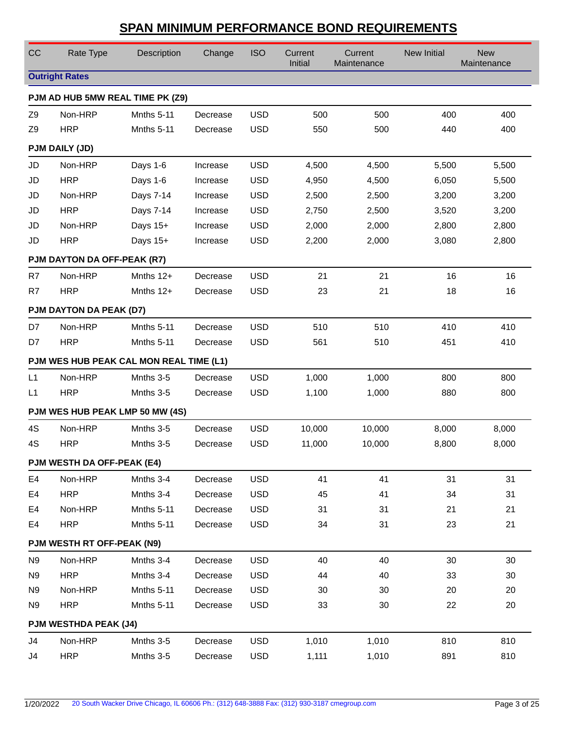| CC             | Rate Type                               | Description       | Change   | <b>ISO</b> | Current<br>Initial | Current<br>Maintenance | New Initial | <b>New</b><br>Maintenance |
|----------------|-----------------------------------------|-------------------|----------|------------|--------------------|------------------------|-------------|---------------------------|
|                | <b>Outright Rates</b>                   |                   |          |            |                    |                        |             |                           |
|                | PJM AD HUB 5MW REAL TIME PK (Z9)        |                   |          |            |                    |                        |             |                           |
| Z <sub>9</sub> | Non-HRP                                 | <b>Mnths 5-11</b> | Decrease | <b>USD</b> | 500                | 500                    | 400         | 400                       |
| Z <sub>9</sub> | <b>HRP</b>                              | Mnths 5-11        | Decrease | <b>USD</b> | 550                | 500                    | 440         | 400                       |
|                | PJM DAILY (JD)                          |                   |          |            |                    |                        |             |                           |
| JD             | Non-HRP                                 | Days 1-6          | Increase | <b>USD</b> | 4,500              | 4,500                  | 5,500       | 5,500                     |
| JD             | <b>HRP</b>                              | Days 1-6          | Increase | <b>USD</b> | 4,950              | 4,500                  | 6,050       | 5,500                     |
| JD             | Non-HRP                                 | Days 7-14         | Increase | <b>USD</b> | 2,500              | 2,500                  | 3,200       | 3,200                     |
| JD             | <b>HRP</b>                              | Days 7-14         | Increase | <b>USD</b> | 2,750              | 2,500                  | 3,520       | 3,200                     |
| JD             | Non-HRP                                 | Days 15+          | Increase | <b>USD</b> | 2,000              | 2,000                  | 2,800       | 2,800                     |
| JD             | <b>HRP</b>                              | Days 15+          | Increase | <b>USD</b> | 2,200              | 2,000                  | 3,080       | 2,800                     |
|                | PJM DAYTON DA OFF-PEAK (R7)             |                   |          |            |                    |                        |             |                           |
| R7             | Non-HRP                                 | Mnths $12+$       | Decrease | <b>USD</b> | 21                 | 21                     | 16          | 16                        |
| R7             | <b>HRP</b>                              | Mnths $12+$       | Decrease | <b>USD</b> | 23                 | 21                     | 18          | 16                        |
|                | PJM DAYTON DA PEAK (D7)                 |                   |          |            |                    |                        |             |                           |
| D7             | Non-HRP                                 | Mnths 5-11        | Decrease | <b>USD</b> | 510                | 510                    | 410         | 410                       |
| D7             | <b>HRP</b>                              | Mnths 5-11        | Decrease | <b>USD</b> | 561                | 510                    | 451         | 410                       |
|                | PJM WES HUB PEAK CAL MON REAL TIME (L1) |                   |          |            |                    |                        |             |                           |
| L1             | Non-HRP                                 | Mnths 3-5         | Decrease | <b>USD</b> | 1,000              | 1,000                  | 800         | 800                       |
| L <sub>1</sub> | <b>HRP</b>                              | Mnths 3-5         | Decrease | <b>USD</b> | 1,100              | 1,000                  | 880         | 800                       |
|                | PJM WES HUB PEAK LMP 50 MW (4S)         |                   |          |            |                    |                        |             |                           |
| 4S             | Non-HRP                                 | Mnths 3-5         | Decrease | <b>USD</b> | 10,000             | 10,000                 | 8,000       | 8,000                     |
| 4S             | <b>HRP</b>                              | Mnths 3-5         | Decrease | <b>USD</b> | 11,000             | 10,000                 | 8,800       | 8,000                     |
|                | PJM WESTH DA OFF-PEAK (E4)              |                   |          |            |                    |                        |             |                           |
| E4             | Non-HRP                                 | Mnths 3-4         | Decrease | <b>USD</b> | 41                 | 41                     | 31          | 31                        |
| E4             | <b>HRP</b>                              | Mnths 3-4         | Decrease | <b>USD</b> | 45                 | 41                     | 34          | 31                        |
| E4             | Non-HRP                                 | Mnths 5-11        | Decrease | <b>USD</b> | 31                 | 31                     | 21          | 21                        |
| E4             | <b>HRP</b>                              | Mnths 5-11        | Decrease | <b>USD</b> | 34                 | 31                     | 23          | 21                        |
|                | PJM WESTH RT OFF-PEAK (N9)              |                   |          |            |                    |                        |             |                           |
| N <sub>9</sub> | Non-HRP                                 | Mnths 3-4         | Decrease | <b>USD</b> | 40                 | 40                     | 30          | 30                        |
| N <sub>9</sub> | <b>HRP</b>                              | Mnths 3-4         | Decrease | <b>USD</b> | 44                 | 40                     | 33          | 30                        |
| N <sub>9</sub> | Non-HRP                                 | Mnths 5-11        | Decrease | <b>USD</b> | 30                 | 30                     | 20          | 20                        |
| N <sub>9</sub> | <b>HRP</b>                              | <b>Mnths 5-11</b> | Decrease | <b>USD</b> | 33                 | 30                     | 22          | 20                        |
|                | <b>PJM WESTHDA PEAK (J4)</b>            |                   |          |            |                    |                        |             |                           |
| J4             | Non-HRP                                 | Mnths 3-5         | Decrease | <b>USD</b> | 1,010              | 1,010                  | 810         | 810                       |
| J4             | <b>HRP</b>                              | Mnths 3-5         | Decrease | <b>USD</b> | 1,111              | 1,010                  | 891         | 810                       |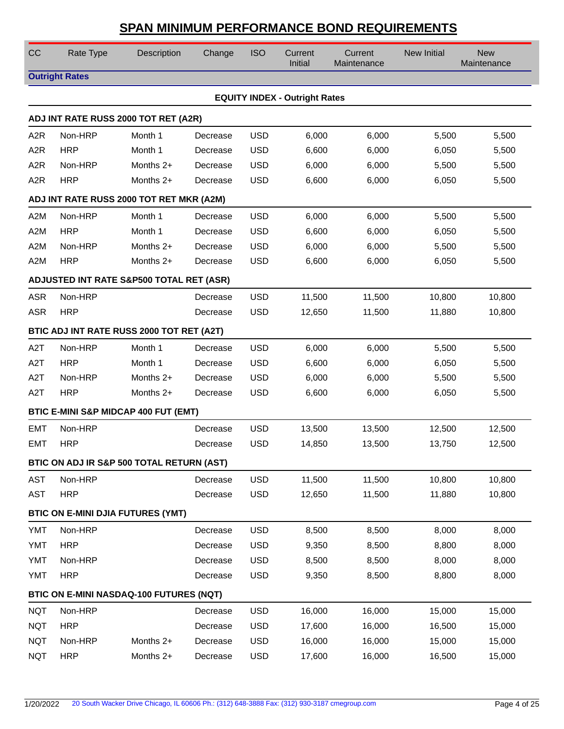| CC                                       | Rate Type                                | Description                                     | Change   | <b>ISO</b> | Current<br>Initial                   | Current<br>Maintenance | New Initial | <b>New</b><br>Maintenance |  |  |  |
|------------------------------------------|------------------------------------------|-------------------------------------------------|----------|------------|--------------------------------------|------------------------|-------------|---------------------------|--|--|--|
|                                          | <b>Outright Rates</b>                    |                                                 |          |            |                                      |                        |             |                           |  |  |  |
|                                          |                                          |                                                 |          |            | <b>EQUITY INDEX - Outright Rates</b> |                        |             |                           |  |  |  |
|                                          |                                          | ADJ INT RATE RUSS 2000 TOT RET (A2R)            |          |            |                                      |                        |             |                           |  |  |  |
| A <sub>2</sub> R                         | Non-HRP                                  | Month 1                                         | Decrease | <b>USD</b> | 6,000                                | 6,000                  | 5,500       | 5,500                     |  |  |  |
| A <sub>2</sub> R                         | <b>HRP</b>                               | Month 1                                         | Decrease | <b>USD</b> | 6,600                                | 6,000                  | 6,050       | 5,500                     |  |  |  |
| A <sub>2</sub> R                         | Non-HRP                                  | Months 2+                                       | Decrease | <b>USD</b> | 6,000                                | 6,000                  | 5,500       | 5,500                     |  |  |  |
| A <sub>2</sub> R                         | <b>HRP</b>                               | Months 2+                                       | Decrease | <b>USD</b> | 6,600                                | 6,000                  | 6,050       | 5,500                     |  |  |  |
| ADJ INT RATE RUSS 2000 TOT RET MKR (A2M) |                                          |                                                 |          |            |                                      |                        |             |                           |  |  |  |
| A <sub>2</sub> M                         | Non-HRP                                  | Month 1                                         | Decrease | <b>USD</b> | 6,000                                | 6,000                  | 5,500       | 5,500                     |  |  |  |
| A <sub>2</sub> M                         | <b>HRP</b>                               | Month 1                                         | Decrease | <b>USD</b> | 6,600                                | 6,000                  | 6,050       | 5,500                     |  |  |  |
| A <sub>2</sub> M                         | Non-HRP                                  | Months 2+                                       | Decrease | <b>USD</b> | 6,000                                | 6,000                  | 5,500       | 5,500                     |  |  |  |
| A <sub>2</sub> M                         | <b>HRP</b>                               | Months 2+                                       | Decrease | <b>USD</b> | 6,600                                | 6,000                  | 6,050       | 5,500                     |  |  |  |
| ADJUSTED INT RATE S&P500 TOTAL RET (ASR) |                                          |                                                 |          |            |                                      |                        |             |                           |  |  |  |
| <b>ASR</b>                               | Non-HRP                                  |                                                 | Decrease | <b>USD</b> | 11,500                               | 11,500                 | 10,800      | 10,800                    |  |  |  |
| <b>ASR</b>                               | <b>HRP</b>                               |                                                 | Decrease | <b>USD</b> | 12,650                               | 11,500                 | 11,880      | 10,800                    |  |  |  |
|                                          |                                          | BTIC ADJ INT RATE RUSS 2000 TOT RET (A2T)       |          |            |                                      |                        |             |                           |  |  |  |
| A <sub>2</sub> T                         | Non-HRP                                  | Month 1                                         | Decrease | <b>USD</b> | 6,000                                | 6,000                  | 5,500       | 5,500                     |  |  |  |
| A <sub>2</sub> T                         | <b>HRP</b>                               | Month 1                                         | Decrease | <b>USD</b> | 6,600                                | 6,000                  | 6,050       | 5,500                     |  |  |  |
| A <sub>2</sub> T                         | Non-HRP                                  | Months 2+                                       | Decrease | <b>USD</b> | 6,000                                | 6,000                  | 5,500       | 5,500                     |  |  |  |
| A <sub>2</sub> T                         | <b>HRP</b>                               | Months 2+                                       | Decrease | <b>USD</b> | 6,600                                | 6,000                  | 6,050       | 5,500                     |  |  |  |
|                                          |                                          | <b>BTIC E-MINI S&amp;P MIDCAP 400 FUT (EMT)</b> |          |            |                                      |                        |             |                           |  |  |  |
| <b>EMT</b>                               | Non-HRP                                  |                                                 | Decrease | <b>USD</b> | 13,500                               | 13,500                 | 12,500      | 12,500                    |  |  |  |
| <b>EMT</b>                               | <b>HRP</b>                               |                                                 | Decrease | <b>USD</b> | 14,850                               | 13,500                 | 13,750      | 12,500                    |  |  |  |
|                                          |                                          | BTIC ON ADJ IR S&P 500 TOTAL RETURN (AST)       |          |            |                                      |                        |             |                           |  |  |  |
| <b>AST</b>                               | Non-HRP                                  |                                                 | Decrease | <b>USD</b> | 11,500                               | 11,500                 | 10,800      | 10,800                    |  |  |  |
| <b>AST</b>                               | <b>HRP</b>                               |                                                 | Decrease | <b>USD</b> | 12,650                               | 11,500                 | 11,880      | 10,800                    |  |  |  |
|                                          | <b>BTIC ON E-MINI DJIA FUTURES (YMT)</b> |                                                 |          |            |                                      |                        |             |                           |  |  |  |
| <b>YMT</b>                               | Non-HRP                                  |                                                 | Decrease | <b>USD</b> | 8,500                                | 8,500                  | 8,000       | 8,000                     |  |  |  |
| <b>YMT</b>                               | <b>HRP</b>                               |                                                 | Decrease | <b>USD</b> | 9,350                                | 8,500                  | 8,800       | 8,000                     |  |  |  |
| <b>YMT</b>                               | Non-HRP                                  |                                                 | Decrease | <b>USD</b> | 8,500                                | 8,500                  | 8,000       | 8,000                     |  |  |  |
| <b>YMT</b>                               | <b>HRP</b>                               |                                                 | Decrease | <b>USD</b> | 9,350                                | 8,500                  | 8,800       | 8,000                     |  |  |  |
|                                          | BTIC ON E-MINI NASDAQ-100 FUTURES (NQT)  |                                                 |          |            |                                      |                        |             |                           |  |  |  |
| <b>NQT</b>                               | Non-HRP                                  |                                                 | Decrease | <b>USD</b> | 16,000                               | 16,000                 | 15,000      | 15,000                    |  |  |  |
| <b>NQT</b>                               | <b>HRP</b>                               |                                                 | Decrease | <b>USD</b> | 17,600                               | 16,000                 | 16,500      | 15,000                    |  |  |  |
| <b>NQT</b>                               | Non-HRP                                  | Months 2+                                       | Decrease | <b>USD</b> | 16,000                               | 16,000                 | 15,000      | 15,000                    |  |  |  |
| <b>NQT</b>                               | <b>HRP</b>                               | Months 2+                                       | Decrease | <b>USD</b> | 17,600                               | 16,000                 | 16,500      | 15,000                    |  |  |  |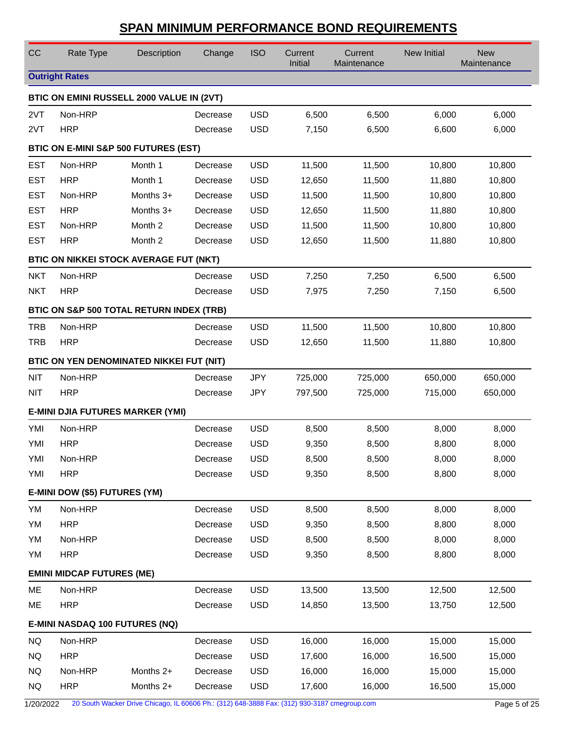| CC         | Rate Type                                     | Description | Change   | <b>ISO</b> | Current<br>Initial | Current<br>Maintenance | New Initial | <b>New</b><br>Maintenance |
|------------|-----------------------------------------------|-------------|----------|------------|--------------------|------------------------|-------------|---------------------------|
|            | <b>Outright Rates</b>                         |             |          |            |                    |                        |             |                           |
|            | BTIC ON EMINI RUSSELL 2000 VALUE IN (2VT)     |             |          |            |                    |                        |             |                           |
| 2VT        | Non-HRP                                       |             | Decrease | <b>USD</b> | 6,500              | 6,500                  | 6,000       | 6,000                     |
| 2VT        | <b>HRP</b>                                    |             | Decrease | <b>USD</b> | 7,150              | 6,500                  | 6,600       | 6,000                     |
|            | BTIC ON E-MINI S&P 500 FUTURES (EST)          |             |          |            |                    |                        |             |                           |
| <b>EST</b> | Non-HRP                                       | Month 1     | Decrease | <b>USD</b> | 11,500             | 11,500                 | 10,800      | 10,800                    |
| <b>EST</b> | <b>HRP</b>                                    | Month 1     | Decrease | <b>USD</b> | 12,650             | 11,500                 | 11,880      | 10,800                    |
| <b>EST</b> | Non-HRP                                       | Months 3+   | Decrease | <b>USD</b> | 11,500             | 11,500                 | 10,800      | 10,800                    |
| <b>EST</b> | <b>HRP</b>                                    | Months 3+   | Decrease | <b>USD</b> | 12,650             | 11,500                 | 11,880      | 10,800                    |
| <b>EST</b> | Non-HRP                                       | Month 2     | Decrease | <b>USD</b> | 11,500             | 11,500                 | 10,800      | 10,800                    |
| <b>EST</b> | <b>HRP</b>                                    | Month 2     | Decrease | <b>USD</b> | 12,650             | 11,500                 | 11,880      | 10,800                    |
|            | <b>BTIC ON NIKKEI STOCK AVERAGE FUT (NKT)</b> |             |          |            |                    |                        |             |                           |
| <b>NKT</b> | Non-HRP                                       |             | Decrease | <b>USD</b> | 7,250              | 7,250                  | 6,500       | 6,500                     |
| <b>NKT</b> | <b>HRP</b>                                    |             | Decrease | <b>USD</b> | 7,975              | 7,250                  | 7,150       | 6,500                     |
|            | BTIC ON S&P 500 TOTAL RETURN INDEX (TRB)      |             |          |            |                    |                        |             |                           |
| <b>TRB</b> | Non-HRP                                       |             | Decrease | <b>USD</b> | 11,500             | 11,500                 | 10,800      | 10,800                    |
| <b>TRB</b> | <b>HRP</b>                                    |             | Decrease | <b>USD</b> | 12,650             | 11,500                 | 11,880      | 10,800                    |
|            | BTIC ON YEN DENOMINATED NIKKEI FUT (NIT)      |             |          |            |                    |                        |             |                           |
| <b>NIT</b> | Non-HRP                                       |             | Decrease | <b>JPY</b> | 725,000            | 725,000                | 650,000     | 650,000                   |
| <b>NIT</b> | <b>HRP</b>                                    |             | Decrease | <b>JPY</b> | 797,500            | 725,000                | 715,000     | 650,000                   |
|            | <b>E-MINI DJIA FUTURES MARKER (YMI)</b>       |             |          |            |                    |                        |             |                           |
| YMI        | Non-HRP                                       |             | Decrease | <b>USD</b> | 8,500              | 8,500                  | 8,000       | 8,000                     |
| YMI        | <b>HRP</b>                                    |             | Decrease | <b>USD</b> | 9,350              | 8,500                  | 8,800       | 8,000                     |
| YMI        | Non-HRP                                       |             | Decrease | <b>USD</b> | 8,500              | 8,500                  | 8,000       | 8,000                     |
| YMI        | <b>HRP</b>                                    |             | Decrease | <b>USD</b> | 9,350              | 8,500                  | 8,800       | 8,000                     |
|            | E-MINI DOW (\$5) FUTURES (YM)                 |             |          |            |                    |                        |             |                           |
| YM         | Non-HRP                                       |             | Decrease | <b>USD</b> | 8,500              | 8,500                  | 8,000       | 8,000                     |
| YM         | <b>HRP</b>                                    |             | Decrease | <b>USD</b> | 9,350              | 8,500                  | 8,800       | 8,000                     |
| YM         | Non-HRP                                       |             | Decrease | <b>USD</b> | 8,500              | 8,500                  | 8,000       | 8,000                     |
| YM         | <b>HRP</b>                                    |             | Decrease | <b>USD</b> | 9,350              | 8,500                  | 8,800       | 8,000                     |
|            | <b>EMINI MIDCAP FUTURES (ME)</b>              |             |          |            |                    |                        |             |                           |
| ME         | Non-HRP                                       |             | Decrease | <b>USD</b> | 13,500             | 13,500                 | 12,500      | 12,500                    |
| ME         | <b>HRP</b>                                    |             | Decrease | <b>USD</b> | 14,850             | 13,500                 | 13,750      | 12,500                    |
|            | E-MINI NASDAQ 100 FUTURES (NQ)                |             |          |            |                    |                        |             |                           |
| NQ         | Non-HRP                                       |             | Decrease | <b>USD</b> | 16,000             | 16,000                 | 15,000      | 15,000                    |
| NQ.        | <b>HRP</b>                                    |             | Decrease | <b>USD</b> | 17,600             | 16,000                 | 16,500      | 15,000                    |
| <b>NQ</b>  | Non-HRP                                       | Months 2+   | Decrease | <b>USD</b> | 16,000             | 16,000                 | 15,000      | 15,000                    |
| NQ         | <b>HRP</b>                                    | Months 2+   | Decrease | <b>USD</b> | 17,600             | 16,000                 | 16,500      | 15,000                    |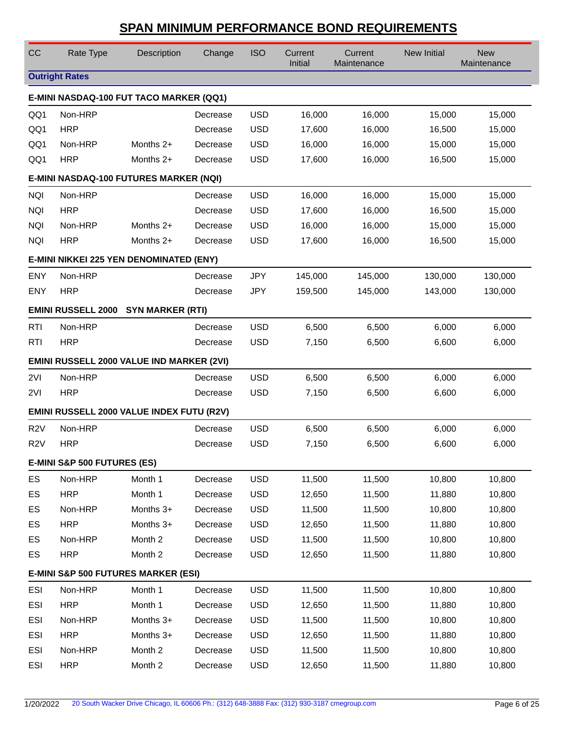| CC                                      | Rate Type                                        | Description | Change   | <b>ISO</b> | Current<br>Initial | Current<br>Maintenance | <b>New Initial</b> | <b>New</b><br>Maintenance |  |  |  |
|-----------------------------------------|--------------------------------------------------|-------------|----------|------------|--------------------|------------------------|--------------------|---------------------------|--|--|--|
|                                         | <b>Outright Rates</b>                            |             |          |            |                    |                        |                    |                           |  |  |  |
|                                         | E-MINI NASDAQ-100 FUT TACO MARKER (QQ1)          |             |          |            |                    |                        |                    |                           |  |  |  |
| QQ1                                     | Non-HRP                                          |             | Decrease | <b>USD</b> | 16,000             | 16,000                 | 15,000             | 15,000                    |  |  |  |
| QQ1                                     | <b>HRP</b>                                       |             | Decrease | <b>USD</b> | 17,600             | 16,000                 | 16,500             | 15,000                    |  |  |  |
| QQ1                                     | Non-HRP                                          | Months 2+   | Decrease | <b>USD</b> | 16,000             | 16,000                 | 15,000             | 15,000                    |  |  |  |
| QQ1                                     | <b>HRP</b>                                       | Months 2+   | Decrease | <b>USD</b> | 17,600             | 16,000                 | 16,500             | 15,000                    |  |  |  |
|                                         | E-MINI NASDAQ-100 FUTURES MARKER (NQI)           |             |          |            |                    |                        |                    |                           |  |  |  |
| <b>NQI</b>                              | Non-HRP                                          |             | Decrease | <b>USD</b> | 16,000             | 16,000                 | 15,000             | 15,000                    |  |  |  |
| <b>NQI</b>                              | <b>HRP</b>                                       |             | Decrease | <b>USD</b> | 17,600             | 16,000                 | 16,500             | 15,000                    |  |  |  |
| <b>NQI</b>                              | Non-HRP                                          | Months 2+   | Decrease | <b>USD</b> | 16,000             | 16,000                 | 15,000             | 15,000                    |  |  |  |
| <b>NQI</b>                              | <b>HRP</b>                                       | Months 2+   | Decrease | <b>USD</b> | 17,600             | 16,000                 | 16,500             | 15,000                    |  |  |  |
| E-MINI NIKKEI 225 YEN DENOMINATED (ENY) |                                                  |             |          |            |                    |                        |                    |                           |  |  |  |
| <b>ENY</b>                              | Non-HRP                                          |             | Decrease | <b>JPY</b> | 145,000            | 145,000                | 130,000            | 130,000                   |  |  |  |
| <b>ENY</b>                              | <b>HRP</b>                                       |             | Decrease | <b>JPY</b> | 159,500            | 145,000                | 143,000            | 130,000                   |  |  |  |
|                                         | EMINI RUSSELL 2000 SYN MARKER (RTI)              |             |          |            |                    |                        |                    |                           |  |  |  |
| <b>RTI</b>                              | Non-HRP                                          |             | Decrease | <b>USD</b> | 6,500              | 6,500                  | 6,000              | 6,000                     |  |  |  |
| <b>RTI</b>                              | <b>HRP</b>                                       |             | Decrease | <b>USD</b> | 7,150              | 6,500                  | 6,600              | 6,000                     |  |  |  |
|                                         | <b>EMINI RUSSELL 2000 VALUE IND MARKER (2VI)</b> |             |          |            |                    |                        |                    |                           |  |  |  |
| 2VI                                     | Non-HRP                                          |             | Decrease | <b>USD</b> | 6,500              | 6,500                  | 6,000              | 6,000                     |  |  |  |
| 2VI                                     | <b>HRP</b>                                       |             | Decrease | <b>USD</b> | 7,150              | 6,500                  | 6,600              | 6,000                     |  |  |  |
|                                         | EMINI RUSSELL 2000 VALUE INDEX FUTU (R2V)        |             |          |            |                    |                        |                    |                           |  |  |  |
| R <sub>2</sub> V                        | Non-HRP                                          |             | Decrease | <b>USD</b> | 6,500              | 6,500                  | 6,000              | 6,000                     |  |  |  |
| R <sub>2</sub> V                        | <b>HRP</b>                                       |             | Decrease | <b>USD</b> | 7,150              | 6,500                  | 6,600              | 6,000                     |  |  |  |
|                                         | E-MINI S&P 500 FUTURES (ES)                      |             |          |            |                    |                        |                    |                           |  |  |  |
| ES                                      | Non-HRP                                          | Month 1     | Decrease | <b>USD</b> | 11,500             | 11,500                 | 10,800             | 10,800                    |  |  |  |
| ES                                      | <b>HRP</b>                                       | Month 1     | Decrease | <b>USD</b> | 12,650             | 11,500                 | 11,880             | 10,800                    |  |  |  |
| ES                                      | Non-HRP                                          | Months 3+   | Decrease | <b>USD</b> | 11,500             | 11,500                 | 10,800             | 10,800                    |  |  |  |
| ES                                      | <b>HRP</b>                                       | Months 3+   | Decrease | <b>USD</b> | 12,650             | 11,500                 | 11,880             | 10,800                    |  |  |  |
| ES                                      | Non-HRP                                          | Month 2     | Decrease | <b>USD</b> | 11,500             | 11,500                 | 10,800             | 10,800                    |  |  |  |
| ES                                      | <b>HRP</b>                                       | Month 2     | Decrease | <b>USD</b> | 12,650             | 11,500                 | 11,880             | 10,800                    |  |  |  |
|                                         | <b>E-MINI S&amp;P 500 FUTURES MARKER (ESI)</b>   |             |          |            |                    |                        |                    |                           |  |  |  |
| <b>ESI</b>                              | Non-HRP                                          | Month 1     | Decrease | <b>USD</b> | 11,500             | 11,500                 | 10,800             | 10,800                    |  |  |  |
| <b>ESI</b>                              | <b>HRP</b>                                       | Month 1     | Decrease | <b>USD</b> | 12,650             | 11,500                 | 11,880             | 10,800                    |  |  |  |
| ESI                                     | Non-HRP                                          | Months 3+   | Decrease | <b>USD</b> | 11,500             | 11,500                 | 10,800             | 10,800                    |  |  |  |
| ESI                                     | <b>HRP</b>                                       | Months 3+   | Decrease | <b>USD</b> | 12,650             | 11,500                 | 11,880             | 10,800                    |  |  |  |
| ESI                                     | Non-HRP                                          | Month 2     | Decrease | <b>USD</b> | 11,500             | 11,500                 | 10,800             | 10,800                    |  |  |  |
| <b>ESI</b>                              | <b>HRP</b>                                       | Month 2     | Decrease | <b>USD</b> | 12,650             | 11,500                 | 11,880             | 10,800                    |  |  |  |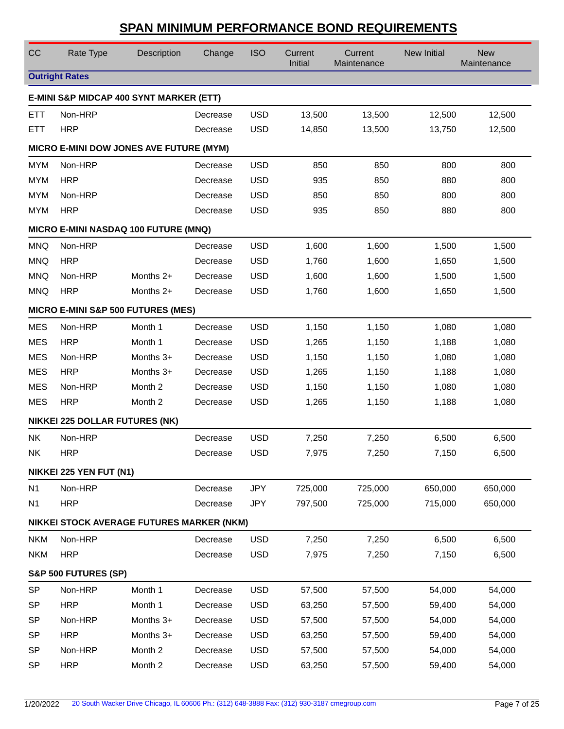| CC                                   | Rate Type                                 | Description | Change   | <b>ISO</b> | Current<br>Initial | Current<br>Maintenance | New Initial | <b>New</b><br>Maintenance |  |  |
|--------------------------------------|-------------------------------------------|-------------|----------|------------|--------------------|------------------------|-------------|---------------------------|--|--|
|                                      | <b>Outright Rates</b>                     |             |          |            |                    |                        |             |                           |  |  |
|                                      | E-MINI S&P MIDCAP 400 SYNT MARKER (ETT)   |             |          |            |                    |                        |             |                           |  |  |
| <b>ETT</b>                           | Non-HRP                                   |             | Decrease | <b>USD</b> | 13,500             | 13,500                 | 12,500      | 12,500                    |  |  |
| <b>ETT</b>                           | <b>HRP</b>                                |             | Decrease | <b>USD</b> | 14,850             | 13,500                 | 13,750      | 12,500                    |  |  |
|                                      | MICRO E-MINI DOW JONES AVE FUTURE (MYM)   |             |          |            |                    |                        |             |                           |  |  |
| <b>MYM</b>                           | Non-HRP                                   |             | Decrease | <b>USD</b> | 850                | 850                    | 800         | 800                       |  |  |
| <b>MYM</b>                           | <b>HRP</b>                                |             | Decrease | <b>USD</b> | 935                | 850                    | 880         | 800                       |  |  |
| <b>MYM</b>                           | Non-HRP                                   |             | Decrease | <b>USD</b> | 850                | 850                    | 800         | 800                       |  |  |
| <b>MYM</b>                           | <b>HRP</b>                                |             | Decrease | <b>USD</b> | 935                | 850                    | 880         | 800                       |  |  |
| MICRO E-MINI NASDAQ 100 FUTURE (MNQ) |                                           |             |          |            |                    |                        |             |                           |  |  |
| <b>MNQ</b>                           | Non-HRP                                   |             | Decrease | <b>USD</b> | 1,600              | 1,600                  | 1,500       | 1,500                     |  |  |
| <b>MNQ</b>                           | <b>HRP</b>                                |             | Decrease | <b>USD</b> | 1,760              | 1,600                  | 1,650       | 1,500                     |  |  |
| <b>MNQ</b>                           | Non-HRP                                   | Months $2+$ | Decrease | <b>USD</b> | 1,600              | 1,600                  | 1,500       | 1,500                     |  |  |
| <b>MNQ</b>                           | <b>HRP</b>                                | Months 2+   | Decrease | <b>USD</b> | 1,760              | 1,600                  | 1,650       | 1,500                     |  |  |
| MICRO E-MINI S&P 500 FUTURES (MES)   |                                           |             |          |            |                    |                        |             |                           |  |  |
| <b>MES</b>                           | Non-HRP                                   | Month 1     | Decrease | <b>USD</b> | 1,150              | 1,150                  | 1,080       | 1,080                     |  |  |
| <b>MES</b>                           | <b>HRP</b>                                | Month 1     | Decrease | <b>USD</b> | 1,265              | 1,150                  | 1,188       | 1,080                     |  |  |
| <b>MES</b>                           | Non-HRP                                   | Months 3+   | Decrease | <b>USD</b> | 1,150              | 1,150                  | 1,080       | 1,080                     |  |  |
| <b>MES</b>                           | <b>HRP</b>                                | Months 3+   | Decrease | <b>USD</b> | 1,265              | 1,150                  | 1,188       | 1,080                     |  |  |
| <b>MES</b>                           | Non-HRP                                   | Month 2     | Decrease | <b>USD</b> | 1,150              | 1,150                  | 1,080       | 1,080                     |  |  |
| <b>MES</b>                           | <b>HRP</b>                                | Month 2     | Decrease | <b>USD</b> | 1,265              | 1,150                  | 1,188       | 1,080                     |  |  |
|                                      | <b>NIKKEI 225 DOLLAR FUTURES (NK)</b>     |             |          |            |                    |                        |             |                           |  |  |
| <b>NK</b>                            | Non-HRP                                   |             | Decrease | <b>USD</b> | 7,250              | 7,250                  | 6,500       | 6,500                     |  |  |
| <b>NK</b>                            | <b>HRP</b>                                |             | Decrease | <b>USD</b> | 7,975              | 7,250                  | 7,150       | 6,500                     |  |  |
|                                      | NIKKEI 225 YEN FUT (N1)                   |             |          |            |                    |                        |             |                           |  |  |
| N <sub>1</sub>                       | Non-HRP                                   |             | Decrease | <b>JPY</b> | 725,000            | 725,000                | 650,000     | 650,000                   |  |  |
| N <sub>1</sub>                       | <b>HRP</b>                                |             | Decrease | <b>JPY</b> | 797,500            | 725,000                | 715,000     | 650,000                   |  |  |
|                                      | NIKKEI STOCK AVERAGE FUTURES MARKER (NKM) |             |          |            |                    |                        |             |                           |  |  |
| <b>NKM</b>                           | Non-HRP                                   |             | Decrease | <b>USD</b> | 7,250              | 7,250                  | 6,500       | 6,500                     |  |  |
| <b>NKM</b>                           | <b>HRP</b>                                |             | Decrease | <b>USD</b> | 7,975              | 7,250                  | 7,150       | 6,500                     |  |  |
|                                      | S&P 500 FUTURES (SP)                      |             |          |            |                    |                        |             |                           |  |  |
| <b>SP</b>                            | Non-HRP                                   | Month 1     | Decrease | <b>USD</b> | 57,500             | 57,500                 | 54,000      | 54,000                    |  |  |
| <b>SP</b>                            | <b>HRP</b>                                | Month 1     | Decrease | <b>USD</b> | 63,250             | 57,500                 | 59,400      | 54,000                    |  |  |
| <b>SP</b>                            | Non-HRP                                   | Months 3+   | Decrease | <b>USD</b> | 57,500             | 57,500                 | 54,000      | 54,000                    |  |  |
| <b>SP</b>                            | <b>HRP</b>                                | Months 3+   | Decrease | <b>USD</b> | 63,250             | 57,500                 | 59,400      | 54,000                    |  |  |
| <b>SP</b>                            | Non-HRP                                   | Month 2     | Decrease | <b>USD</b> | 57,500             | 57,500                 | 54,000      | 54,000                    |  |  |
| <b>SP</b>                            | <b>HRP</b>                                | Month 2     | Decrease | <b>USD</b> | 63,250             | 57,500                 | 59,400      | 54,000                    |  |  |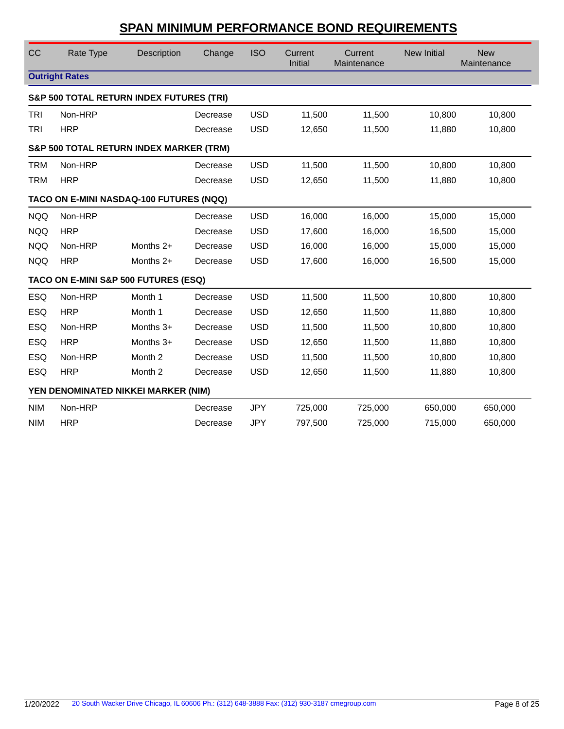| CC                                                 | Rate Type                                           | Description | Change   | <b>ISO</b> | Current<br>Initial | Current<br>Maintenance | <b>New Initial</b> | <b>New</b><br>Maintenance |  |  |  |
|----------------------------------------------------|-----------------------------------------------------|-------------|----------|------------|--------------------|------------------------|--------------------|---------------------------|--|--|--|
|                                                    | <b>Outright Rates</b>                               |             |          |            |                    |                        |                    |                           |  |  |  |
|                                                    | <b>S&amp;P 500 TOTAL RETURN INDEX FUTURES (TRI)</b> |             |          |            |                    |                        |                    |                           |  |  |  |
| TRI                                                | Non-HRP                                             |             | Decrease | <b>USD</b> | 11,500             | 11,500                 | 10,800             | 10,800                    |  |  |  |
| <b>TRI</b>                                         | <b>HRP</b>                                          |             | Decrease | <b>USD</b> | 12,650             | 11,500                 | 11,880             | 10,800                    |  |  |  |
| <b>S&amp;P 500 TOTAL RETURN INDEX MARKER (TRM)</b> |                                                     |             |          |            |                    |                        |                    |                           |  |  |  |
| <b>TRM</b>                                         | Non-HRP                                             |             | Decrease | <b>USD</b> | 11,500             | 11,500                 | 10,800             | 10,800                    |  |  |  |
| <b>TRM</b>                                         | <b>HRP</b>                                          |             | Decrease | <b>USD</b> | 12,650             | 11,500                 | 11,880             | 10,800                    |  |  |  |
|                                                    | TACO ON E-MINI NASDAQ-100 FUTURES (NQQ)             |             |          |            |                    |                        |                    |                           |  |  |  |
| <b>NQQ</b>                                         | Non-HRP                                             |             | Decrease | <b>USD</b> | 16,000             | 16,000                 | 15,000             | 15,000                    |  |  |  |
| <b>NQQ</b>                                         | <b>HRP</b>                                          |             | Decrease | <b>USD</b> | 17,600             | 16,000                 | 16,500             | 15,000                    |  |  |  |
| <b>NQQ</b>                                         | Non-HRP                                             | Months $2+$ | Decrease | <b>USD</b> | 16,000             | 16,000                 | 15,000             | 15,000                    |  |  |  |
| <b>NQQ</b>                                         | <b>HRP</b>                                          | Months $2+$ | Decrease | <b>USD</b> | 17,600             | 16,000                 | 16,500             | 15,000                    |  |  |  |
|                                                    | TACO ON E-MINI S&P 500 FUTURES (ESQ)                |             |          |            |                    |                        |                    |                           |  |  |  |
| <b>ESQ</b>                                         | Non-HRP                                             | Month 1     | Decrease | <b>USD</b> | 11,500             | 11,500                 | 10,800             | 10,800                    |  |  |  |
| <b>ESQ</b>                                         | <b>HRP</b>                                          | Month 1     | Decrease | <b>USD</b> | 12,650             | 11,500                 | 11,880             | 10,800                    |  |  |  |
| <b>ESQ</b>                                         | Non-HRP                                             | Months 3+   | Decrease | <b>USD</b> | 11,500             | 11,500                 | 10,800             | 10,800                    |  |  |  |
| <b>ESQ</b>                                         | <b>HRP</b>                                          | Months 3+   | Decrease | <b>USD</b> | 12,650             | 11,500                 | 11,880             | 10,800                    |  |  |  |
| <b>ESQ</b>                                         | Non-HRP                                             | Month 2     | Decrease | <b>USD</b> | 11,500             | 11,500                 | 10,800             | 10,800                    |  |  |  |
| <b>ESQ</b>                                         | <b>HRP</b>                                          | Month 2     | Decrease | <b>USD</b> | 12,650             | 11,500                 | 11,880             | 10,800                    |  |  |  |
| YEN DENOMINATED NIKKEI MARKER (NIM)                |                                                     |             |          |            |                    |                        |                    |                           |  |  |  |
| <b>NIM</b>                                         | Non-HRP                                             |             | Decrease | <b>JPY</b> | 725,000            | 725,000                | 650,000            | 650,000                   |  |  |  |
| <b>NIM</b>                                         | <b>HRP</b>                                          |             | Decrease | <b>JPY</b> | 797,500            | 725,000                | 715,000            | 650,000                   |  |  |  |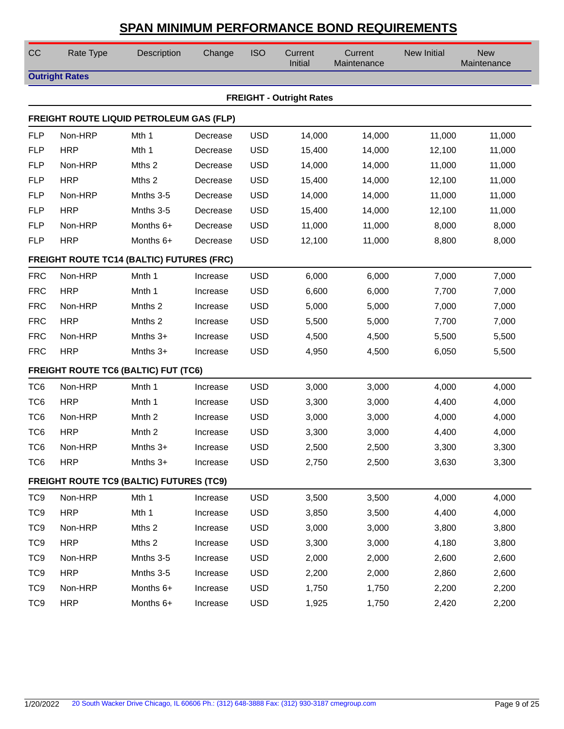| CC              | Rate Type                                        | Description       | Change   | <b>ISO</b> | Current<br>Initial              | Current<br>Maintenance | <b>New Initial</b> | <b>New</b><br>Maintenance |
|-----------------|--------------------------------------------------|-------------------|----------|------------|---------------------------------|------------------------|--------------------|---------------------------|
|                 | <b>Outright Rates</b>                            |                   |          |            |                                 |                        |                    |                           |
|                 |                                                  |                   |          |            | <b>FREIGHT - Outright Rates</b> |                        |                    |                           |
|                 | FREIGHT ROUTE LIQUID PETROLEUM GAS (FLP)         |                   |          |            |                                 |                        |                    |                           |
| <b>FLP</b>      | Non-HRP                                          | Mth 1             | Decrease | <b>USD</b> | 14,000                          | 14,000                 | 11,000             | 11,000                    |
| <b>FLP</b>      | <b>HRP</b>                                       | Mth 1             | Decrease | <b>USD</b> | 15,400                          | 14,000                 | 12,100             | 11,000                    |
| <b>FLP</b>      | Non-HRP                                          | Mths 2            | Decrease | <b>USD</b> | 14,000                          | 14,000                 | 11,000             | 11,000                    |
| <b>FLP</b>      | <b>HRP</b>                                       | Mths 2            | Decrease | <b>USD</b> | 15,400                          | 14,000                 | 12,100             | 11,000                    |
| <b>FLP</b>      | Non-HRP                                          | Mnths 3-5         | Decrease | <b>USD</b> | 14,000                          | 14,000                 | 11,000             | 11,000                    |
| <b>FLP</b>      | <b>HRP</b>                                       | Mnths 3-5         | Decrease | <b>USD</b> | 15,400                          | 14,000                 | 12,100             | 11,000                    |
| <b>FLP</b>      | Non-HRP                                          | Months 6+         | Decrease | <b>USD</b> | 11,000                          | 11,000                 | 8,000              | 8,000                     |
| <b>FLP</b>      | <b>HRP</b>                                       | Months 6+         | Decrease | <b>USD</b> | 12,100                          | 11,000                 | 8,800              | 8,000                     |
|                 | <b>FREIGHT ROUTE TC14 (BALTIC) FUTURES (FRC)</b> |                   |          |            |                                 |                        |                    |                           |
| <b>FRC</b>      | Non-HRP                                          | Mnth 1            | Increase | <b>USD</b> | 6,000                           | 6,000                  | 7,000              | 7,000                     |
| <b>FRC</b>      | <b>HRP</b>                                       | Mnth 1            | Increase | <b>USD</b> | 6,600                           | 6,000                  | 7,700              | 7,000                     |
| <b>FRC</b>      | Non-HRP                                          | Mnths 2           | Increase | <b>USD</b> | 5,000                           | 5,000                  | 7,000              | 7,000                     |
| <b>FRC</b>      | <b>HRP</b>                                       | Mnths 2           | Increase | <b>USD</b> | 5,500                           | 5,000                  | 7,700              | 7,000                     |
| <b>FRC</b>      | Non-HRP                                          | Mnths $3+$        | Increase | <b>USD</b> | 4,500                           | 4,500                  | 5,500              | 5,500                     |
| <b>FRC</b>      | <b>HRP</b>                                       | Mnths $3+$        | Increase | <b>USD</b> | 4,950                           | 4,500                  | 6,050              | 5,500                     |
|                 | <b>FREIGHT ROUTE TC6 (BALTIC) FUT (TC6)</b>      |                   |          |            |                                 |                        |                    |                           |
| TC <sub>6</sub> | Non-HRP                                          | Mnth 1            | Increase | <b>USD</b> | 3,000                           | 3,000                  | 4,000              | 4,000                     |
| TC <sub>6</sub> | <b>HRP</b>                                       | Mnth 1            | Increase | <b>USD</b> | 3,300                           | 3,000                  | 4,400              | 4,000                     |
| TC <sub>6</sub> | Non-HRP                                          | Mnth <sub>2</sub> | Increase | <b>USD</b> | 3,000                           | 3,000                  | 4,000              | 4,000                     |
| TC <sub>6</sub> | <b>HRP</b>                                       | Mnth <sub>2</sub> | Increase | <b>USD</b> | 3,300                           | 3,000                  | 4,400              | 4,000                     |
| TC <sub>6</sub> | Non-HRP                                          | Mnths 3+          | Increase | <b>USD</b> | 2,500                           | 2,500                  | 3,300              | 3,300                     |
| TC <sub>6</sub> | <b>HRP</b>                                       | Mnths $3+$        | Increase | <b>USD</b> | 2,750                           | 2,500                  | 3,630              | 3,300                     |
|                 | <b>FREIGHT ROUTE TC9 (BALTIC) FUTURES (TC9)</b>  |                   |          |            |                                 |                        |                    |                           |
| TC <sub>9</sub> | Non-HRP                                          | Mth 1             | Increase | <b>USD</b> | 3,500                           | 3,500                  | 4,000              | 4,000                     |
| TC <sub>9</sub> | <b>HRP</b>                                       | Mth 1             | Increase | <b>USD</b> | 3,850                           | 3,500                  | 4,400              | 4,000                     |
| TC <sub>9</sub> | Non-HRP                                          | Mths 2            | Increase | <b>USD</b> | 3,000                           | 3,000                  | 3,800              | 3,800                     |
| TC <sub>9</sub> | <b>HRP</b>                                       | Mths 2            | Increase | <b>USD</b> | 3,300                           | 3,000                  | 4,180              | 3,800                     |
| TC <sub>9</sub> | Non-HRP                                          | Mnths 3-5         | Increase | <b>USD</b> | 2,000                           | 2,000                  | 2,600              | 2,600                     |
| TC <sub>9</sub> | <b>HRP</b>                                       | Mnths 3-5         | Increase | <b>USD</b> | 2,200                           | 2,000                  | 2,860              | 2,600                     |
| TC <sub>9</sub> | Non-HRP                                          | Months 6+         | Increase | <b>USD</b> | 1,750                           | 1,750                  | 2,200              | 2,200                     |
| TC <sub>9</sub> | <b>HRP</b>                                       | Months 6+         | Increase | <b>USD</b> | 1,925                           | 1,750                  | 2,420              | 2,200                     |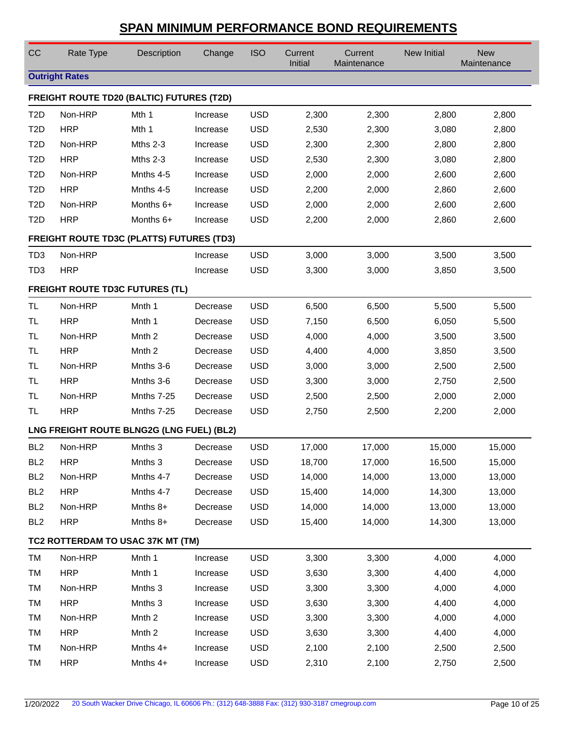| CC                                               | Rate Type                                        | Description       | Change   | <b>ISO</b> | Current<br>Initial | Current<br>Maintenance | <b>New Initial</b> | <b>New</b><br>Maintenance |  |  |  |
|--------------------------------------------------|--------------------------------------------------|-------------------|----------|------------|--------------------|------------------------|--------------------|---------------------------|--|--|--|
|                                                  | <b>Outright Rates</b>                            |                   |          |            |                    |                        |                    |                           |  |  |  |
|                                                  | <b>FREIGHT ROUTE TD20 (BALTIC) FUTURES (T2D)</b> |                   |          |            |                    |                        |                    |                           |  |  |  |
| T <sub>2</sub> D                                 | Non-HRP                                          | Mth 1             | Increase | <b>USD</b> | 2,300              | 2,300                  | 2,800              | 2,800                     |  |  |  |
| T <sub>2</sub> D                                 | <b>HRP</b>                                       | Mth 1             | Increase | <b>USD</b> | 2,530              | 2,300                  | 3,080              | 2,800                     |  |  |  |
| T <sub>2</sub> D                                 | Non-HRP                                          | Mths $2-3$        | Increase | <b>USD</b> | 2,300              | 2,300                  | 2,800              | 2,800                     |  |  |  |
| T <sub>2</sub> D                                 | <b>HRP</b>                                       | Mths 2-3          | Increase | <b>USD</b> | 2,530              | 2,300                  | 3,080              | 2,800                     |  |  |  |
| T <sub>2</sub> D                                 | Non-HRP                                          | Mnths 4-5         | Increase | <b>USD</b> | 2,000              | 2,000                  | 2,600              | 2,600                     |  |  |  |
| T <sub>2</sub> D                                 | <b>HRP</b>                                       | Mnths 4-5         | Increase | <b>USD</b> | 2,200              | 2,000                  | 2,860              | 2,600                     |  |  |  |
| T <sub>2</sub> D                                 | Non-HRP                                          | Months 6+         | Increase | <b>USD</b> | 2,000              | 2,000                  | 2,600              | 2,600                     |  |  |  |
| T <sub>2</sub> D                                 | <b>HRP</b>                                       | Months 6+         | Increase | <b>USD</b> | 2,200              | 2,000                  | 2,860              | 2,600                     |  |  |  |
| <b>FREIGHT ROUTE TD3C (PLATTS) FUTURES (TD3)</b> |                                                  |                   |          |            |                    |                        |                    |                           |  |  |  |
| TD <sub>3</sub>                                  | Non-HRP                                          |                   | Increase | <b>USD</b> | 3,000              | 3,000                  | 3,500              | 3,500                     |  |  |  |
| TD <sub>3</sub>                                  | <b>HRP</b>                                       |                   | Increase | <b>USD</b> | 3,300              | 3,000                  | 3,850              | 3,500                     |  |  |  |
| <b>FREIGHT ROUTE TD3C FUTURES (TL)</b>           |                                                  |                   |          |            |                    |                        |                    |                           |  |  |  |
| <b>TL</b>                                        | Non-HRP                                          | Mnth 1            | Decrease | <b>USD</b> | 6,500              | 6,500                  | 5,500              | 5,500                     |  |  |  |
| TL                                               | <b>HRP</b>                                       | Mnth 1            | Decrease | <b>USD</b> | 7,150              | 6,500                  | 6,050              | 5,500                     |  |  |  |
| <b>TL</b>                                        | Non-HRP                                          | Mnth <sub>2</sub> | Decrease | <b>USD</b> | 4,000              | 4,000                  | 3,500              | 3,500                     |  |  |  |
| <b>TL</b>                                        | <b>HRP</b>                                       | Mnth <sub>2</sub> | Decrease | <b>USD</b> | 4,400              | 4,000                  | 3,850              | 3,500                     |  |  |  |
| <b>TL</b>                                        | Non-HRP                                          | Mnths 3-6         | Decrease | <b>USD</b> | 3,000              | 3,000                  | 2,500              | 2,500                     |  |  |  |
| TL                                               | <b>HRP</b>                                       | Mnths 3-6         | Decrease | <b>USD</b> | 3,300              | 3,000                  | 2,750              | 2,500                     |  |  |  |
| TL                                               | Non-HRP                                          | Mnths 7-25        | Decrease | <b>USD</b> | 2,500              | 2,500                  | 2,000              | 2,000                     |  |  |  |
| TL                                               | <b>HRP</b>                                       | Mnths 7-25        | Decrease | <b>USD</b> | 2,750              | 2,500                  | 2,200              | 2,000                     |  |  |  |
|                                                  | LNG FREIGHT ROUTE BLNG2G (LNG FUEL) (BL2)        |                   |          |            |                    |                        |                    |                           |  |  |  |
| BL <sub>2</sub>                                  | Non-HRP                                          | Mnths 3           | Decrease | <b>USD</b> | 17,000             | 17,000                 | 15,000             | 15,000                    |  |  |  |
| BL <sub>2</sub>                                  | <b>HRP</b>                                       | Mnths 3           | Decrease | <b>USD</b> | 18,700             | 17,000                 | 16,500             | 15,000                    |  |  |  |
| BL <sub>2</sub>                                  | Non-HRP                                          | Mnths 4-7         | Decrease | <b>USD</b> | 14,000             | 14,000                 | 13,000             | 13,000                    |  |  |  |
| BL <sub>2</sub>                                  | <b>HRP</b>                                       | Mnths 4-7         | Decrease | <b>USD</b> | 15,400             | 14,000                 | 14,300             | 13,000                    |  |  |  |
| BL <sub>2</sub>                                  | Non-HRP                                          | Mnths 8+          | Decrease | <b>USD</b> | 14,000             | 14,000                 | 13,000             | 13,000                    |  |  |  |
| BL <sub>2</sub>                                  | <b>HRP</b>                                       | Mnths $8+$        | Decrease | <b>USD</b> | 15,400             | 14,000                 | 14,300             | 13,000                    |  |  |  |
|                                                  | TC2 ROTTERDAM TO USAC 37K MT (TM)                |                   |          |            |                    |                        |                    |                           |  |  |  |
| TM                                               | Non-HRP                                          | Mnth 1            | Increase | <b>USD</b> | 3,300              | 3,300                  | 4,000              | 4,000                     |  |  |  |
| TM                                               | <b>HRP</b>                                       | Mnth 1            | Increase | <b>USD</b> | 3,630              | 3,300                  | 4,400              | 4,000                     |  |  |  |
| TM                                               | Non-HRP                                          | Mnths 3           | Increase | <b>USD</b> | 3,300              | 3,300                  | 4,000              | 4,000                     |  |  |  |
| TM                                               | <b>HRP</b>                                       | Mnths 3           | Increase | <b>USD</b> | 3,630              | 3,300                  | 4,400              | 4,000                     |  |  |  |
| TM                                               | Non-HRP                                          | Mnth <sub>2</sub> | Increase | <b>USD</b> | 3,300              | 3,300                  | 4,000              | 4,000                     |  |  |  |
| TM                                               | <b>HRP</b>                                       | Mnth <sub>2</sub> | Increase | <b>USD</b> | 3,630              | 3,300                  | 4,400              | 4,000                     |  |  |  |
| TM                                               | Non-HRP                                          | Mnths $4+$        | Increase | <b>USD</b> | 2,100              | 2,100                  | 2,500              | 2,500                     |  |  |  |
| TM                                               | <b>HRP</b>                                       | Mnths 4+          | Increase | <b>USD</b> | 2,310              | 2,100                  | 2,750              | 2,500                     |  |  |  |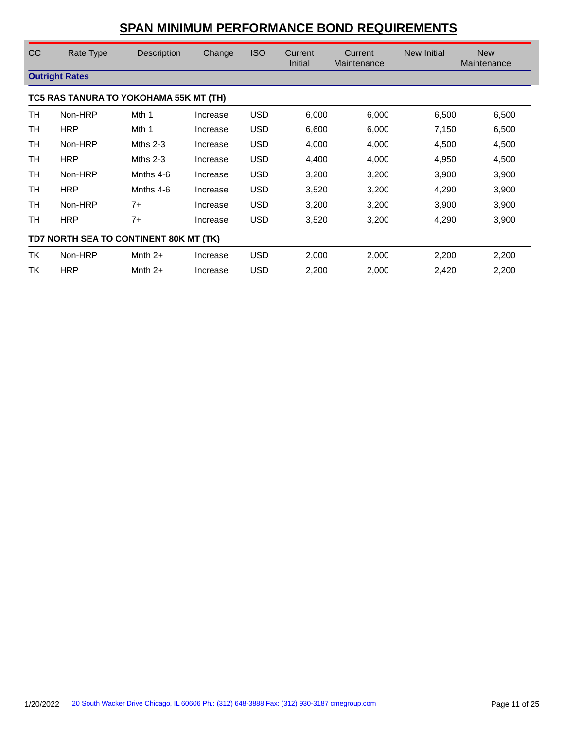| CC | Rate Type                              | Description | Change   | <b>ISO</b> | <b>Current</b><br>Initial | Current<br>Maintenance | <b>New Initial</b> | <b>New</b><br>Maintenance |  |  |  |
|----|----------------------------------------|-------------|----------|------------|---------------------------|------------------------|--------------------|---------------------------|--|--|--|
|    | <b>Outright Rates</b>                  |             |          |            |                           |                        |                    |                           |  |  |  |
|    | TC5 RAS TANURA TO YOKOHAMA 55K MT (TH) |             |          |            |                           |                        |                    |                           |  |  |  |
| TH | Non-HRP                                | Mth 1       | Increase | <b>USD</b> | 6,000                     | 6,000                  | 6,500              | 6,500                     |  |  |  |
| TH | <b>HRP</b>                             | Mth 1       | Increase | <b>USD</b> | 6,600                     | 6,000                  | 7,150              | 6,500                     |  |  |  |
| TН | Non-HRP                                | Mths $2-3$  | Increase | <b>USD</b> | 4,000                     | 4,000                  | 4,500              | 4,500                     |  |  |  |
| TН | <b>HRP</b>                             | Mths $2-3$  | Increase | <b>USD</b> | 4,400                     | 4,000                  | 4,950              | 4,500                     |  |  |  |
| TН | Non-HRP                                | Mnths 4-6   | Increase | <b>USD</b> | 3,200                     | 3,200                  | 3,900              | 3,900                     |  |  |  |
| TH | <b>HRP</b>                             | Mnths 4-6   | Increase | <b>USD</b> | 3,520                     | 3,200                  | 4,290              | 3,900                     |  |  |  |
| TH | Non-HRP                                | $7+$        | Increase | <b>USD</b> | 3,200                     | 3,200                  | 3,900              | 3,900                     |  |  |  |
| TН | <b>HRP</b>                             | $7+$        | Increase | <b>USD</b> | 3,520                     | 3,200                  | 4,290              | 3,900                     |  |  |  |
|    | TD7 NORTH SEA TO CONTINENT 80K MT (TK) |             |          |            |                           |                        |                    |                           |  |  |  |
| TK | Non-HRP                                | Mnth $2+$   | Increase | <b>USD</b> | 2,000                     | 2,000                  | 2,200              | 2,200                     |  |  |  |
| ТK | <b>HRP</b>                             | Mnth $2+$   | Increase | <b>USD</b> | 2,200                     | 2,000                  | 2,420              | 2,200                     |  |  |  |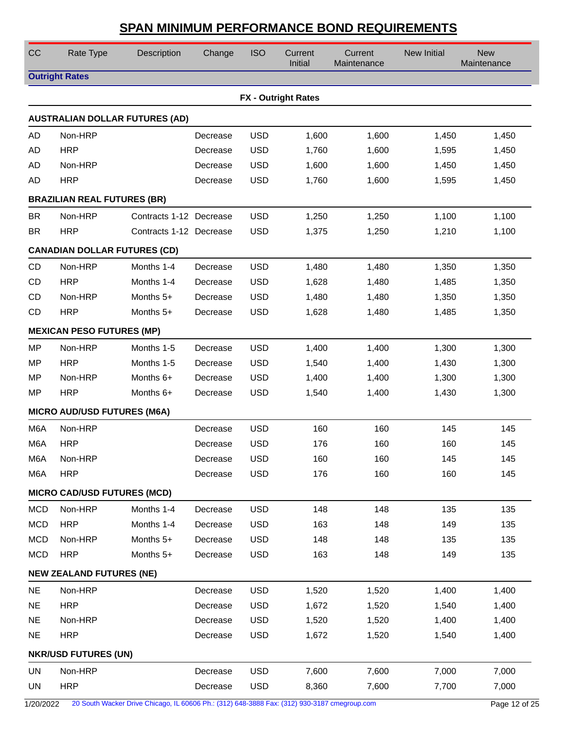| CC               | Rate Type                           | Description                           | Change   | <b>ISO</b> | Current<br>Initial         | Current<br>Maintenance | New Initial | <b>New</b><br>Maintenance |
|------------------|-------------------------------------|---------------------------------------|----------|------------|----------------------------|------------------------|-------------|---------------------------|
|                  | <b>Outright Rates</b>               |                                       |          |            |                            |                        |             |                           |
|                  |                                     |                                       |          |            | <b>FX - Outright Rates</b> |                        |             |                           |
|                  |                                     | <b>AUSTRALIAN DOLLAR FUTURES (AD)</b> |          |            |                            |                        |             |                           |
| AD               | Non-HRP                             |                                       | Decrease | <b>USD</b> | 1,600                      | 1,600                  | 1,450       | 1,450                     |
| AD               | <b>HRP</b>                          |                                       | Decrease | <b>USD</b> | 1,760                      | 1,600                  | 1,595       | 1,450                     |
| AD               | Non-HRP                             |                                       | Decrease | <b>USD</b> | 1,600                      | 1,600                  | 1,450       | 1,450                     |
| AD               | <b>HRP</b>                          |                                       | Decrease | <b>USD</b> | 1,760                      | 1,600                  | 1,595       | 1,450                     |
|                  | <b>BRAZILIAN REAL FUTURES (BR)</b>  |                                       |          |            |                            |                        |             |                           |
| <b>BR</b>        | Non-HRP                             | Contracts 1-12 Decrease               |          | <b>USD</b> | 1,250                      | 1,250                  | 1,100       | 1,100                     |
| <b>BR</b>        | <b>HRP</b>                          | Contracts 1-12 Decrease               |          | <b>USD</b> | 1,375                      | 1,250                  | 1,210       | 1,100                     |
|                  | <b>CANADIAN DOLLAR FUTURES (CD)</b> |                                       |          |            |                            |                        |             |                           |
| CD               | Non-HRP                             | Months 1-4                            | Decrease | <b>USD</b> | 1,480                      | 1,480                  | 1,350       | 1,350                     |
| CD               | <b>HRP</b>                          | Months 1-4                            | Decrease | <b>USD</b> | 1,628                      | 1,480                  | 1,485       | 1,350                     |
| CD               | Non-HRP                             | Months 5+                             | Decrease | <b>USD</b> | 1,480                      | 1,480                  | 1,350       | 1,350                     |
| CD               | <b>HRP</b>                          | Months $5+$                           | Decrease | <b>USD</b> | 1,628                      | 1,480                  | 1,485       | 1,350                     |
|                  | <b>MEXICAN PESO FUTURES (MP)</b>    |                                       |          |            |                            |                        |             |                           |
| MP               | Non-HRP                             | Months 1-5                            | Decrease | <b>USD</b> | 1,400                      | 1,400                  | 1,300       | 1,300                     |
| <b>MP</b>        | <b>HRP</b>                          | Months 1-5                            | Decrease | <b>USD</b> | 1,540                      | 1,400                  | 1,430       | 1,300                     |
| MP               | Non-HRP                             | Months 6+                             | Decrease | <b>USD</b> | 1,400                      | 1,400                  | 1,300       | 1,300                     |
| MP               | <b>HRP</b>                          | Months 6+                             | Decrease | <b>USD</b> | 1,540                      | 1,400                  | 1,430       | 1,300                     |
|                  | <b>MICRO AUD/USD FUTURES (M6A)</b>  |                                       |          |            |                            |                        |             |                           |
| M <sub>6</sub> A | Non-HRP                             |                                       | Decrease | <b>USD</b> | 160                        | 160                    | 145         | 145                       |
| M <sub>6</sub> A | <b>HRP</b>                          |                                       | Decrease | <b>USD</b> | 176                        | 160                    | 160         | 145                       |
| M6A              | Non-HRP                             |                                       | Decrease | USD        | 160                        | 160                    | 145         | 145                       |
| M6A              | <b>HRP</b>                          |                                       | Decrease | <b>USD</b> | 176                        | 160                    | 160         | 145                       |
|                  | <b>MICRO CAD/USD FUTURES (MCD)</b>  |                                       |          |            |                            |                        |             |                           |
| <b>MCD</b>       | Non-HRP                             | Months 1-4                            | Decrease | <b>USD</b> | 148                        | 148                    | 135         | 135                       |
| <b>MCD</b>       | <b>HRP</b>                          | Months 1-4                            | Decrease | <b>USD</b> | 163                        | 148                    | 149         | 135                       |
| <b>MCD</b>       | Non-HRP                             | Months 5+                             | Decrease | <b>USD</b> | 148                        | 148                    | 135         | 135                       |
| <b>MCD</b>       | <b>HRP</b>                          | Months 5+                             | Decrease | <b>USD</b> | 163                        | 148                    | 149         | 135                       |
|                  | <b>NEW ZEALAND FUTURES (NE)</b>     |                                       |          |            |                            |                        |             |                           |
| <b>NE</b>        | Non-HRP                             |                                       | Decrease | <b>USD</b> | 1,520                      | 1,520                  | 1,400       | 1,400                     |
| <b>NE</b>        | <b>HRP</b>                          |                                       | Decrease | <b>USD</b> | 1,672                      | 1,520                  | 1,540       | 1,400                     |
| <b>NE</b>        | Non-HRP                             |                                       | Decrease | <b>USD</b> | 1,520                      | 1,520                  | 1,400       | 1,400                     |
| <b>NE</b>        | <b>HRP</b>                          |                                       | Decrease | <b>USD</b> | 1,672                      | 1,520                  | 1,540       | 1,400                     |
|                  | <b>NKR/USD FUTURES (UN)</b>         |                                       |          |            |                            |                        |             |                           |
| <b>UN</b>        | Non-HRP                             |                                       | Decrease | <b>USD</b> | 7,600                      | 7,600                  | 7,000       | 7,000                     |
| <b>UN</b>        | <b>HRP</b>                          |                                       | Decrease | <b>USD</b> | 8,360                      | 7,600                  | 7,700       | 7,000                     |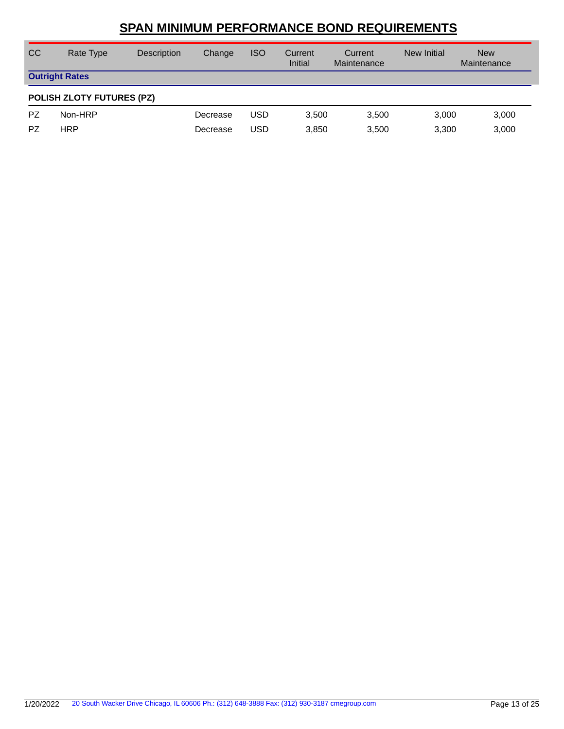| <sub>CC</sub> | Rate Type                        | Description | Change   | <b>ISO</b> | Current<br>Initial | Current<br>Maintenance | New Initial | <b>New</b><br>Maintenance |  |  |  |
|---------------|----------------------------------|-------------|----------|------------|--------------------|------------------------|-------------|---------------------------|--|--|--|
|               | <b>Outright Rates</b>            |             |          |            |                    |                        |             |                           |  |  |  |
|               | <b>POLISH ZLOTY FUTURES (PZ)</b> |             |          |            |                    |                        |             |                           |  |  |  |
| <b>PZ</b>     | Non-HRP                          |             | Decrease | <b>USD</b> | 3.500              | 3.500                  | 3,000       | 3,000                     |  |  |  |
| PZ            | <b>HRP</b>                       |             | Decrease | <b>USD</b> | 3,850              | 3,500                  | 3,300       | 3,000                     |  |  |  |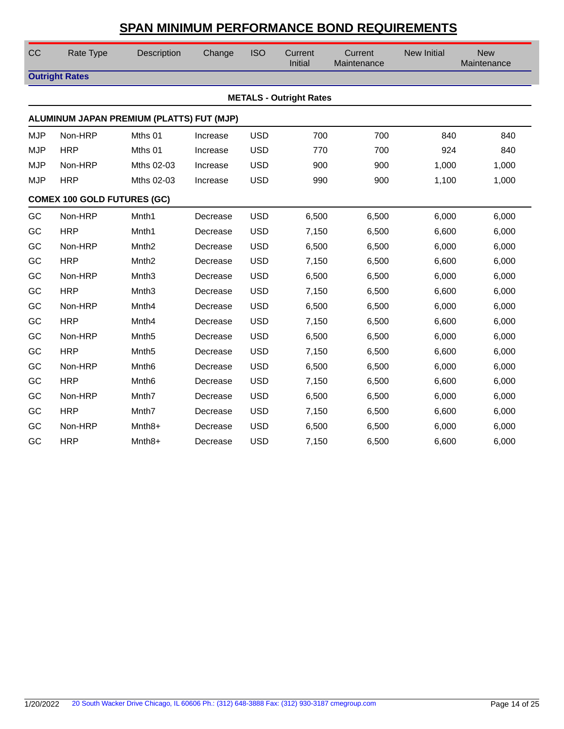| CC         | Rate Type                          | Description                               | Change   | <b>ISO</b> | Current<br>Initial             | Current<br>Maintenance | <b>New Initial</b> | <b>New</b><br>Maintenance |
|------------|------------------------------------|-------------------------------------------|----------|------------|--------------------------------|------------------------|--------------------|---------------------------|
|            | <b>Outright Rates</b>              |                                           |          |            |                                |                        |                    |                           |
|            |                                    |                                           |          |            | <b>METALS - Outright Rates</b> |                        |                    |                           |
|            |                                    | ALUMINUM JAPAN PREMIUM (PLATTS) FUT (MJP) |          |            |                                |                        |                    |                           |
| <b>MJP</b> | Non-HRP                            | Mths 01                                   | Increase | <b>USD</b> | 700                            | 700                    | 840                | 840                       |
| <b>MJP</b> | <b>HRP</b>                         | Mths 01                                   | Increase | <b>USD</b> | 770                            | 700                    | 924                | 840                       |
| <b>MJP</b> | Non-HRP                            | Mths 02-03                                | Increase | <b>USD</b> | 900                            | 900                    | 1,000              | 1,000                     |
| <b>MJP</b> | <b>HRP</b>                         | Mths 02-03                                | Increase | <b>USD</b> | 990                            | 900                    | 1,100              | 1,000                     |
|            | <b>COMEX 100 GOLD FUTURES (GC)</b> |                                           |          |            |                                |                        |                    |                           |
| GC         | Non-HRP                            | Mnth1                                     | Decrease | <b>USD</b> | 6,500                          | 6,500                  | 6,000              | 6,000                     |
| GC         | <b>HRP</b>                         | Mnth <sub>1</sub>                         | Decrease | <b>USD</b> | 7,150                          | 6,500                  | 6,600              | 6,000                     |
| GC         | Non-HRP                            | Mnth <sub>2</sub>                         | Decrease | <b>USD</b> | 6,500                          | 6,500                  | 6,000              | 6,000                     |
| GC         | <b>HRP</b>                         | Mnth <sub>2</sub>                         | Decrease | <b>USD</b> | 7,150                          | 6,500                  | 6,600              | 6,000                     |
| GC         | Non-HRP                            | Mnth <sub>3</sub>                         | Decrease | <b>USD</b> | 6,500                          | 6,500                  | 6,000              | 6,000                     |
| GC         | <b>HRP</b>                         | Mnth <sub>3</sub>                         | Decrease | <b>USD</b> | 7,150                          | 6,500                  | 6,600              | 6,000                     |
| GC         | Non-HRP                            | Mnth4                                     | Decrease | <b>USD</b> | 6,500                          | 6,500                  | 6,000              | 6,000                     |
| GC         | <b>HRP</b>                         | Mnth4                                     | Decrease | <b>USD</b> | 7,150                          | 6,500                  | 6,600              | 6,000                     |
| GC         | Non-HRP                            | Mnth <sub>5</sub>                         | Decrease | <b>USD</b> | 6,500                          | 6,500                  | 6,000              | 6,000                     |
| GC         | <b>HRP</b>                         | Mnth <sub>5</sub>                         | Decrease | <b>USD</b> | 7,150                          | 6,500                  | 6,600              | 6,000                     |
| GC         | Non-HRP                            | Mnth <sub>6</sub>                         | Decrease | <b>USD</b> | 6,500                          | 6,500                  | 6,000              | 6,000                     |
| GC         | <b>HRP</b>                         | Mnth <sub>6</sub>                         | Decrease | <b>USD</b> | 7,150                          | 6,500                  | 6,600              | 6,000                     |
| GC         | Non-HRP                            | Mnth7                                     | Decrease | <b>USD</b> | 6,500                          | 6,500                  | 6,000              | 6,000                     |
| GC         | <b>HRP</b>                         | Mnth7                                     | Decrease | <b>USD</b> | 7,150                          | 6,500                  | 6,600              | 6,000                     |
| GC         | Non-HRP                            | $Mnth8+$                                  | Decrease | <b>USD</b> | 6,500                          | 6,500                  | 6,000              | 6,000                     |
| GC         | <b>HRP</b>                         | Mnth8+                                    | Decrease | <b>USD</b> | 7,150                          | 6,500                  | 6,600              | 6,000                     |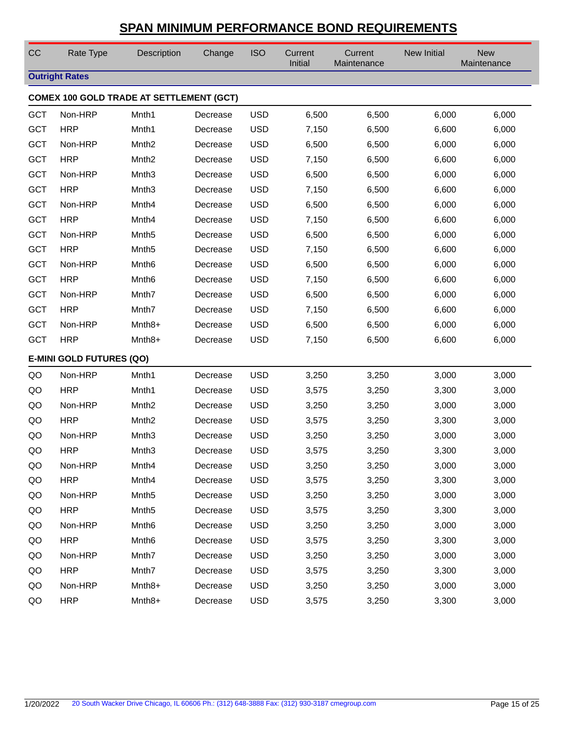| CC         | Rate Type                       | Description                                     | Change   | <b>ISO</b> | Current<br>Initial | Current<br>Maintenance | <b>New Initial</b> | <b>New</b><br>Maintenance |
|------------|---------------------------------|-------------------------------------------------|----------|------------|--------------------|------------------------|--------------------|---------------------------|
|            | <b>Outright Rates</b>           |                                                 |          |            |                    |                        |                    |                           |
|            |                                 | <b>COMEX 100 GOLD TRADE AT SETTLEMENT (GCT)</b> |          |            |                    |                        |                    |                           |
| <b>GCT</b> | Non-HRP                         | Mnth1                                           | Decrease | <b>USD</b> | 6,500              | 6,500                  | 6,000              | 6,000                     |
| <b>GCT</b> | <b>HRP</b>                      | Mnth1                                           | Decrease | <b>USD</b> | 7,150              | 6,500                  | 6,600              | 6,000                     |
| <b>GCT</b> | Non-HRP                         | Mnth <sub>2</sub>                               | Decrease | <b>USD</b> | 6,500              | 6,500                  | 6,000              | 6,000                     |
| <b>GCT</b> | <b>HRP</b>                      | Mnth <sub>2</sub>                               | Decrease | <b>USD</b> | 7,150              | 6,500                  | 6,600              | 6,000                     |
| <b>GCT</b> | Non-HRP                         | Mnth <sub>3</sub>                               | Decrease | <b>USD</b> | 6,500              | 6,500                  | 6,000              | 6,000                     |
| <b>GCT</b> | <b>HRP</b>                      | Mnth <sub>3</sub>                               | Decrease | <b>USD</b> | 7,150              | 6,500                  | 6,600              | 6,000                     |
| <b>GCT</b> | Non-HRP                         | Mnth4                                           | Decrease | <b>USD</b> | 6,500              | 6,500                  | 6,000              | 6,000                     |
| <b>GCT</b> | <b>HRP</b>                      | Mnth4                                           | Decrease | <b>USD</b> | 7,150              | 6,500                  | 6,600              | 6,000                     |
| <b>GCT</b> | Non-HRP                         | Mnth <sub>5</sub>                               | Decrease | <b>USD</b> | 6,500              | 6,500                  | 6,000              | 6,000                     |
| <b>GCT</b> | <b>HRP</b>                      | Mnth <sub>5</sub>                               | Decrease | <b>USD</b> | 7,150              | 6,500                  | 6,600              | 6,000                     |
| <b>GCT</b> | Non-HRP                         | Mnth <sub>6</sub>                               | Decrease | <b>USD</b> | 6,500              | 6,500                  | 6,000              | 6,000                     |
| <b>GCT</b> | <b>HRP</b>                      | Mnth <sub>6</sub>                               | Decrease | <b>USD</b> | 7,150              | 6,500                  | 6,600              | 6,000                     |
| <b>GCT</b> | Non-HRP                         | Mnth7                                           | Decrease | <b>USD</b> | 6,500              | 6,500                  | 6,000              | 6,000                     |
| <b>GCT</b> | <b>HRP</b>                      | Mnth7                                           | Decrease | <b>USD</b> | 7,150              | 6,500                  | 6,600              | 6,000                     |
| <b>GCT</b> | Non-HRP                         | Mnth <sub>8+</sub>                              | Decrease | <b>USD</b> | 6,500              | 6,500                  | 6,000              | 6,000                     |
| <b>GCT</b> | <b>HRP</b>                      | Mnth <sub>8+</sub>                              | Decrease | <b>USD</b> | 7,150              | 6,500                  | 6,600              | 6,000                     |
|            | <b>E-MINI GOLD FUTURES (QO)</b> |                                                 |          |            |                    |                        |                    |                           |
| QO         | Non-HRP                         | Mnth1                                           | Decrease | <b>USD</b> | 3,250              | 3,250                  | 3,000              | 3,000                     |
| QO         | <b>HRP</b>                      | Mnth1                                           | Decrease | <b>USD</b> | 3,575              | 3,250                  | 3,300              | 3,000                     |
| QO         | Non-HRP                         | Mnth <sub>2</sub>                               | Decrease | <b>USD</b> | 3,250              | 3,250                  | 3,000              | 3,000                     |
| QO         | <b>HRP</b>                      | Mnth <sub>2</sub>                               | Decrease | <b>USD</b> | 3,575              | 3,250                  | 3,300              | 3,000                     |
| QO         | Non-HRP                         | Mnth <sub>3</sub>                               | Decrease | <b>USD</b> | 3,250              | 3,250                  | 3,000              | 3,000                     |
| QO         | <b>HRP</b>                      | Mnth <sub>3</sub>                               | Decrease | <b>USD</b> | 3,575              | 3,250                  | 3,300              | 3,000                     |
| QO         | Non-HRP                         | Mnth4                                           | Decrease | <b>USD</b> | 3,250              | 3,250                  | 3,000              | 3,000                     |
| QO         | <b>HRP</b>                      | Mnth4                                           | Decrease | <b>USD</b> | 3,575              | 3,250                  | 3,300              | 3,000                     |
| QO         | Non-HRP                         | Mnth <sub>5</sub>                               | Decrease | <b>USD</b> | 3,250              | 3,250                  | 3,000              | 3,000                     |
| QO         | <b>HRP</b>                      | Mnth <sub>5</sub>                               | Decrease | <b>USD</b> | 3,575              | 3,250                  | 3,300              | 3,000                     |
| QO         | Non-HRP                         | Mnth <sub>6</sub>                               | Decrease | <b>USD</b> | 3,250              | 3,250                  | 3,000              | 3,000                     |
| QO         | <b>HRP</b>                      | Mnth <sub>6</sub>                               | Decrease | <b>USD</b> | 3,575              | 3,250                  | 3,300              | 3,000                     |
| QO         | Non-HRP                         | Mnth7                                           | Decrease | <b>USD</b> | 3,250              | 3,250                  | 3,000              | 3,000                     |
| QO         | <b>HRP</b>                      | Mnth7                                           | Decrease | <b>USD</b> | 3,575              | 3,250                  | 3,300              | 3,000                     |
| QO         | Non-HRP                         | Mnth <sub>8+</sub>                              | Decrease | <b>USD</b> | 3,250              | 3,250                  | 3,000              | 3,000                     |
| QO         | <b>HRP</b>                      | Mnth <sub>8+</sub>                              | Decrease | <b>USD</b> | 3,575              | 3,250                  | 3,300              | 3,000                     |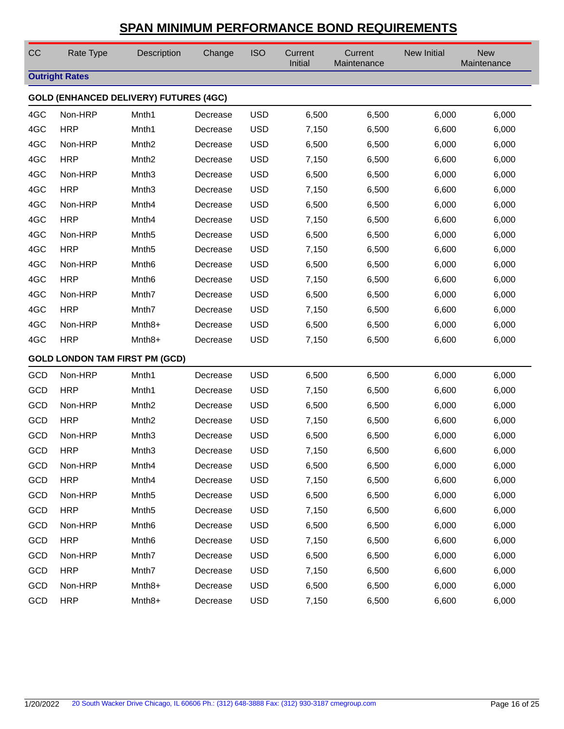| CC  | Rate Type                             | Description                                   | Change   | <b>ISO</b> | Current<br>Initial | Current<br>Maintenance | New Initial | <b>New</b><br>Maintenance |
|-----|---------------------------------------|-----------------------------------------------|----------|------------|--------------------|------------------------|-------------|---------------------------|
|     | <b>Outright Rates</b>                 |                                               |          |            |                    |                        |             |                           |
|     |                                       | <b>GOLD (ENHANCED DELIVERY) FUTURES (4GC)</b> |          |            |                    |                        |             |                           |
| 4GC | Non-HRP                               | Mnth1                                         | Decrease | <b>USD</b> | 6,500              | 6,500                  | 6,000       | 6,000                     |
| 4GC | <b>HRP</b>                            | Mnth1                                         | Decrease | <b>USD</b> | 7,150              | 6,500                  | 6,600       | 6,000                     |
| 4GC | Non-HRP                               | Mnth <sub>2</sub>                             | Decrease | <b>USD</b> | 6,500              | 6,500                  | 6,000       | 6,000                     |
| 4GC | <b>HRP</b>                            | Mnth <sub>2</sub>                             | Decrease | <b>USD</b> | 7,150              | 6,500                  | 6,600       | 6,000                     |
| 4GC | Non-HRP                               | Mnth <sub>3</sub>                             | Decrease | <b>USD</b> | 6,500              | 6,500                  | 6,000       | 6,000                     |
| 4GC | <b>HRP</b>                            | Mnth <sub>3</sub>                             | Decrease | <b>USD</b> | 7,150              | 6,500                  | 6,600       | 6,000                     |
| 4GC | Non-HRP                               | Mnth4                                         | Decrease | <b>USD</b> | 6,500              | 6,500                  | 6,000       | 6,000                     |
| 4GC | <b>HRP</b>                            | Mnth4                                         | Decrease | <b>USD</b> | 7,150              | 6,500                  | 6,600       | 6,000                     |
| 4GC | Non-HRP                               | Mnth <sub>5</sub>                             | Decrease | <b>USD</b> | 6,500              | 6,500                  | 6,000       | 6,000                     |
| 4GC | <b>HRP</b>                            | Mnth <sub>5</sub>                             | Decrease | <b>USD</b> | 7,150              | 6,500                  | 6,600       | 6,000                     |
| 4GC | Non-HRP                               | Mnth <sub>6</sub>                             | Decrease | <b>USD</b> | 6,500              | 6,500                  | 6,000       | 6,000                     |
| 4GC | <b>HRP</b>                            | Mnth <sub>6</sub>                             | Decrease | <b>USD</b> | 7,150              | 6,500                  | 6,600       | 6,000                     |
| 4GC | Non-HRP                               | Mnth7                                         | Decrease | <b>USD</b> | 6,500              | 6,500                  | 6,000       | 6,000                     |
| 4GC | <b>HRP</b>                            | Mnth7                                         | Decrease | <b>USD</b> | 7,150              | 6,500                  | 6,600       | 6,000                     |
| 4GC | Non-HRP                               | Mnth8+                                        | Decrease | <b>USD</b> | 6,500              | 6,500                  | 6,000       | 6,000                     |
| 4GC | <b>HRP</b>                            | Mnth <sub>8+</sub>                            | Decrease | <b>USD</b> | 7,150              | 6,500                  | 6,600       | 6,000                     |
|     | <b>GOLD LONDON TAM FIRST PM (GCD)</b> |                                               |          |            |                    |                        |             |                           |
| GCD | Non-HRP                               | Mnth1                                         | Decrease | <b>USD</b> | 6,500              | 6,500                  | 6,000       | 6,000                     |
| GCD | <b>HRP</b>                            | Mnth1                                         | Decrease | <b>USD</b> | 7,150              | 6,500                  | 6,600       | 6,000                     |
| GCD | Non-HRP                               | Mnth <sub>2</sub>                             | Decrease | <b>USD</b> | 6,500              | 6,500                  | 6,000       | 6,000                     |
| GCD | <b>HRP</b>                            | Mnth <sub>2</sub>                             | Decrease | <b>USD</b> | 7,150              | 6,500                  | 6,600       | 6,000                     |
| GCD | Non-HRP                               | Mnth <sub>3</sub>                             | Decrease | <b>USD</b> | 6,500              | 6,500                  | 6,000       | 6,000                     |
| GCD | <b>HRP</b>                            | Mnth <sub>3</sub>                             | Decrease | <b>USD</b> | 7,150              | 6,500                  | 6,600       | 6,000                     |
| GCD | Non-HRP                               | Mnth4                                         | Decrease | <b>USD</b> | 6,500              | 6,500                  | 6,000       | 6,000                     |
| GCD | <b>HRP</b>                            | Mnth4                                         | Decrease | <b>USD</b> | 7,150              | 6,500                  | 6,600       | 6,000                     |
| GCD | Non-HRP                               | Mnth <sub>5</sub>                             | Decrease | <b>USD</b> | 6,500              | 6,500                  | 6,000       | 6,000                     |
| GCD | <b>HRP</b>                            | Mnth <sub>5</sub>                             | Decrease | <b>USD</b> | 7,150              | 6,500                  | 6,600       | 6,000                     |
| GCD | Non-HRP                               | Mnth <sub>6</sub>                             | Decrease | <b>USD</b> | 6,500              | 6,500                  | 6,000       | 6,000                     |
| GCD | <b>HRP</b>                            | Mnth <sub>6</sub>                             | Decrease | <b>USD</b> | 7,150              | 6,500                  | 6,600       | 6,000                     |
| GCD | Non-HRP                               | Mnth7                                         | Decrease | <b>USD</b> | 6,500              | 6,500                  | 6,000       | 6,000                     |
| GCD | <b>HRP</b>                            | Mnth7                                         | Decrease | <b>USD</b> | 7,150              | 6,500                  | 6,600       | 6,000                     |
| GCD | Non-HRP                               | Mnth <sub>8+</sub>                            | Decrease | <b>USD</b> | 6,500              | 6,500                  | 6,000       | 6,000                     |
| GCD | <b>HRP</b>                            | Mnth <sub>8+</sub>                            | Decrease | <b>USD</b> | 7,150              | 6,500                  | 6,600       | 6,000                     |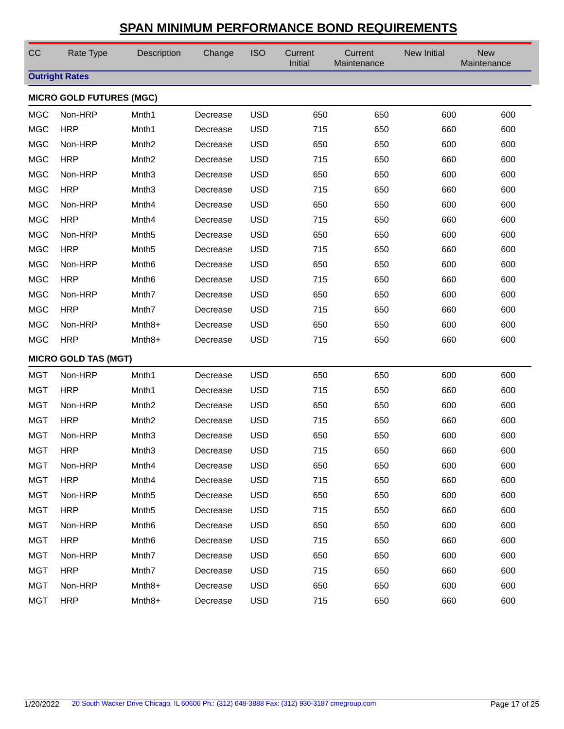| CC         | Rate Type                       | Description        | Change   | <b>ISO</b> | Current<br>Initial | Current<br>Maintenance | New Initial | <b>New</b><br>Maintenance |
|------------|---------------------------------|--------------------|----------|------------|--------------------|------------------------|-------------|---------------------------|
|            | <b>Outright Rates</b>           |                    |          |            |                    |                        |             |                           |
|            | <b>MICRO GOLD FUTURES (MGC)</b> |                    |          |            |                    |                        |             |                           |
| <b>MGC</b> | Non-HRP                         | Mnth1              | Decrease | <b>USD</b> | 650                | 650                    | 600         | 600                       |
| <b>MGC</b> | <b>HRP</b>                      | Mnth1              | Decrease | <b>USD</b> | 715                | 650                    | 660         | 600                       |
| <b>MGC</b> | Non-HRP                         | Mnth <sub>2</sub>  | Decrease | <b>USD</b> | 650                | 650                    | 600         | 600                       |
| <b>MGC</b> | <b>HRP</b>                      | Mnth <sub>2</sub>  | Decrease | <b>USD</b> | 715                | 650                    | 660         | 600                       |
| <b>MGC</b> | Non-HRP                         | Mnth <sub>3</sub>  | Decrease | <b>USD</b> | 650                | 650                    | 600         | 600                       |
| <b>MGC</b> | <b>HRP</b>                      | Mnth <sub>3</sub>  | Decrease | <b>USD</b> | 715                | 650                    | 660         | 600                       |
| <b>MGC</b> | Non-HRP                         | Mnth4              | Decrease | <b>USD</b> | 650                | 650                    | 600         | 600                       |
| <b>MGC</b> | <b>HRP</b>                      | Mnth4              | Decrease | <b>USD</b> | 715                | 650                    | 660         | 600                       |
| <b>MGC</b> | Non-HRP                         | Mnth <sub>5</sub>  | Decrease | <b>USD</b> | 650                | 650                    | 600         | 600                       |
| <b>MGC</b> | <b>HRP</b>                      | Mnth <sub>5</sub>  | Decrease | <b>USD</b> | 715                | 650                    | 660         | 600                       |
| <b>MGC</b> | Non-HRP                         | Mnth <sub>6</sub>  | Decrease | <b>USD</b> | 650                | 650                    | 600         | 600                       |
| <b>MGC</b> | <b>HRP</b>                      | Mnth <sub>6</sub>  | Decrease | <b>USD</b> | 715                | 650                    | 660         | 600                       |
| <b>MGC</b> | Non-HRP                         | Mnth7              | Decrease | <b>USD</b> | 650                | 650                    | 600         | 600                       |
| <b>MGC</b> | <b>HRP</b>                      | Mnth7              | Decrease | <b>USD</b> | 715                | 650                    | 660         | 600                       |
| <b>MGC</b> | Non-HRP                         | Mnth8+             | Decrease | <b>USD</b> | 650                | 650                    | 600         | 600                       |
| <b>MGC</b> | <b>HRP</b>                      | Mnth <sub>8+</sub> | Decrease | <b>USD</b> | 715                | 650                    | 660         | 600                       |
|            | <b>MICRO GOLD TAS (MGT)</b>     |                    |          |            |                    |                        |             |                           |
| <b>MGT</b> | Non-HRP                         | Mnth1              | Decrease | <b>USD</b> | 650                | 650                    | 600         | 600                       |
| <b>MGT</b> | <b>HRP</b>                      | Mnth1              | Decrease | <b>USD</b> | 715                | 650                    | 660         | 600                       |
| <b>MGT</b> | Non-HRP                         | Mnth <sub>2</sub>  | Decrease | <b>USD</b> | 650                | 650                    | 600         | 600                       |
| <b>MGT</b> | <b>HRP</b>                      | Mnth <sub>2</sub>  | Decrease | <b>USD</b> | 715                | 650                    | 660         | 600                       |
| <b>MGT</b> | Non-HRP                         | Mnth <sub>3</sub>  | Decrease | <b>USD</b> | 650                | 650                    | 600         | 600                       |
| <b>MGT</b> | <b>HRP</b>                      | Mnth <sub>3</sub>  | Decrease | <b>USD</b> | 715                | 650                    | 660         | 600                       |
| <b>MGT</b> | Non-HRP                         | Mnth4              | Decrease | <b>USD</b> | 650                | 650                    | 600         | 600                       |
| <b>MGT</b> | <b>HRP</b>                      | Mnth4              | Decrease | <b>USD</b> | 715                | 650                    | 660         | 600                       |
| <b>MGT</b> | Non-HRP                         | Mnth <sub>5</sub>  | Decrease | <b>USD</b> | 650                | 650                    | 600         | 600                       |
| <b>MGT</b> | <b>HRP</b>                      | Mnth <sub>5</sub>  | Decrease | <b>USD</b> | 715                | 650                    | 660         | 600                       |
| <b>MGT</b> | Non-HRP                         | Mnth <sub>6</sub>  | Decrease | <b>USD</b> | 650                | 650                    | 600         | 600                       |
| <b>MGT</b> | <b>HRP</b>                      | Mnth <sub>6</sub>  | Decrease | <b>USD</b> | 715                | 650                    | 660         | 600                       |
| <b>MGT</b> | Non-HRP                         | Mnth7              | Decrease | <b>USD</b> | 650                | 650                    | 600         | 600                       |
| <b>MGT</b> | <b>HRP</b>                      | Mnth7              | Decrease | <b>USD</b> | 715                | 650                    | 660         | 600                       |
| <b>MGT</b> | Non-HRP                         | Mnth <sub>8+</sub> | Decrease | <b>USD</b> | 650                | 650                    | 600         | 600                       |
| <b>MGT</b> | <b>HRP</b>                      | Mnth <sub>8+</sub> | Decrease | <b>USD</b> | 715                | 650                    | 660         | 600                       |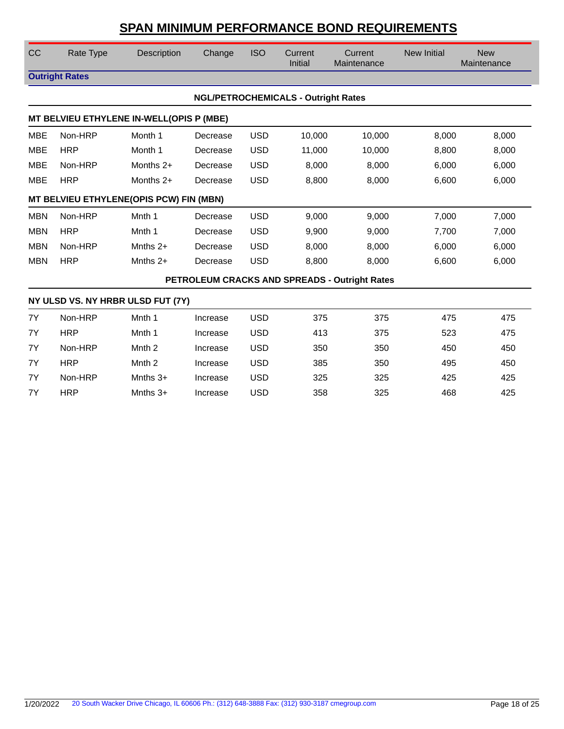| CC         | Rate Type             | Description                              | Change   | <b>ISO</b> | Current<br>Initial                         | Current<br>Maintenance                        | <b>New Initial</b> | <b>New</b><br>Maintenance |
|------------|-----------------------|------------------------------------------|----------|------------|--------------------------------------------|-----------------------------------------------|--------------------|---------------------------|
|            | <b>Outright Rates</b> |                                          |          |            |                                            |                                               |                    |                           |
|            |                       |                                          |          |            | <b>NGL/PETROCHEMICALS - Outright Rates</b> |                                               |                    |                           |
|            |                       | MT BELVIEU ETHYLENE IN-WELL(OPIS P (MBE) |          |            |                                            |                                               |                    |                           |
| <b>MBE</b> | Non-HRP               | Month 1                                  | Decrease | <b>USD</b> | 10,000                                     | 10,000                                        | 8,000              | 8,000                     |
| <b>MBE</b> | <b>HRP</b>            | Month 1                                  | Decrease | <b>USD</b> | 11,000                                     | 10,000                                        | 8,800              | 8,000                     |
| <b>MBE</b> | Non-HRP               | Months 2+                                | Decrease | <b>USD</b> | 8,000                                      | 8,000                                         | 6,000              | 6,000                     |
| <b>MBE</b> | <b>HRP</b>            | Months 2+                                | Decrease | <b>USD</b> | 8,800                                      | 8,000                                         | 6,600              | 6,000                     |
|            |                       | MT BELVIEU ETHYLENE(OPIS PCW) FIN (MBN)  |          |            |                                            |                                               |                    |                           |
| <b>MBN</b> | Non-HRP               | Mnth 1                                   | Decrease | <b>USD</b> | 9,000                                      | 9,000                                         | 7,000              | 7,000                     |
| <b>MBN</b> | <b>HRP</b>            | Mnth 1                                   | Decrease | <b>USD</b> | 9,900                                      | 9,000                                         | 7,700              | 7,000                     |
| <b>MBN</b> | Non-HRP               | Mnths $2+$                               | Decrease | <b>USD</b> | 8,000                                      | 8,000                                         | 6,000              | 6,000                     |
| <b>MBN</b> | <b>HRP</b>            | Mnths $2+$                               | Decrease | <b>USD</b> | 8,800                                      | 8,000                                         | 6,600              | 6,000                     |
|            |                       |                                          |          |            |                                            | PETROLEUM CRACKS AND SPREADS - Outright Rates |                    |                           |
|            |                       | NY ULSD VS. NY HRBR ULSD FUT (7Y)        |          |            |                                            |                                               |                    |                           |
| 7Y         | Non-HRP               | Mnth 1                                   | Increase | <b>USD</b> | 375                                        | 375                                           | 475                | 475                       |
| 7Y         | <b>HRP</b>            | Mnth 1                                   | Increase | <b>USD</b> | 413                                        | 375                                           | 523                | 475                       |
| 7Y         | Non-HRP               | Mnth <sub>2</sub>                        | Increase | <b>USD</b> | 350                                        | 350                                           | 450                | 450                       |
| 7Y         | <b>HRP</b>            | Mnth <sub>2</sub>                        | Increase | <b>USD</b> | 385                                        | 350                                           | 495                | 450                       |
| 7Y         | Non-HRP               | Mnths $3+$                               | Increase | <b>USD</b> | 325                                        | 325                                           | 425                | 425                       |
| 7Y         | <b>HRP</b>            | Mnths $3+$                               | Increase | <b>USD</b> | 358                                        | 325                                           | 468                | 425                       |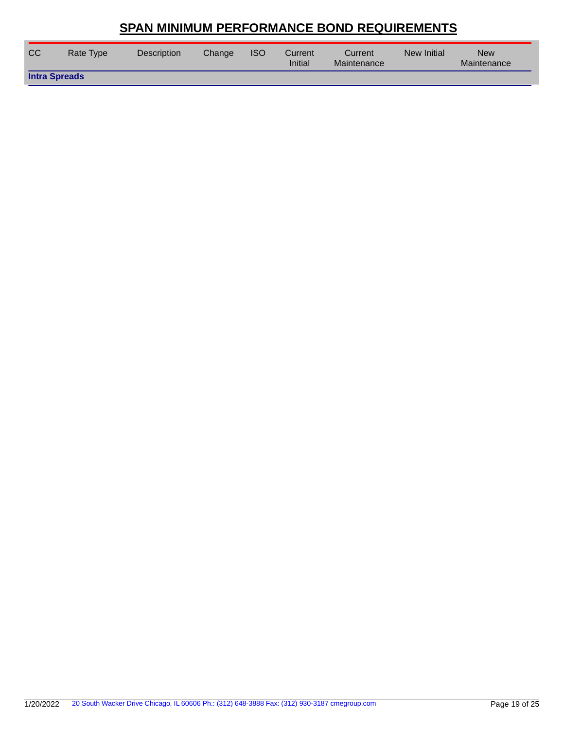| <b>CC</b> | Rate Type            | <b>Description</b> | Change | <b>ISO</b> | Current<br>Initial | Current<br>Maintenance | New Initial | <b>New</b><br>Maintenance |  |
|-----------|----------------------|--------------------|--------|------------|--------------------|------------------------|-------------|---------------------------|--|
|           | <b>Intra Spreads</b> |                    |        |            |                    |                        |             |                           |  |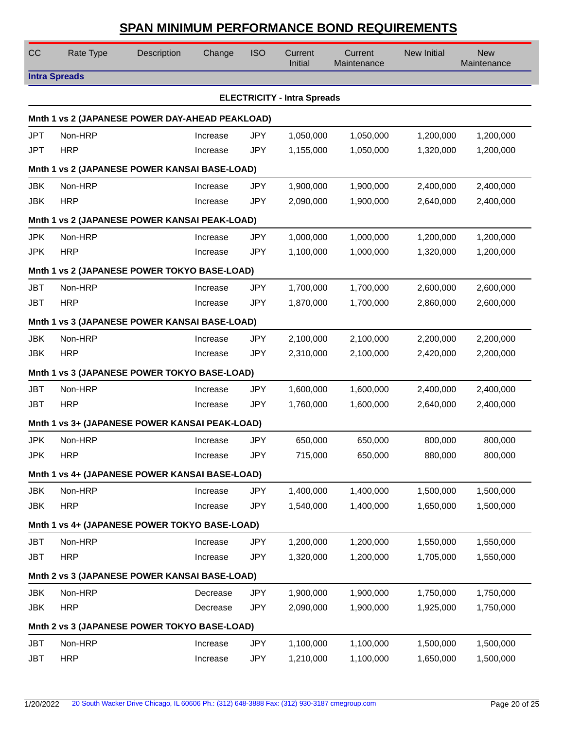| CC         | Rate Type                                       | Description | Change   | <b>ISO</b> | Current<br>Initial                 | Current<br>Maintenance | New Initial | <b>New</b><br>Maintenance |
|------------|-------------------------------------------------|-------------|----------|------------|------------------------------------|------------------------|-------------|---------------------------|
|            | <b>Intra Spreads</b>                            |             |          |            |                                    |                        |             |                           |
|            |                                                 |             |          |            | <b>ELECTRICITY - Intra Spreads</b> |                        |             |                           |
|            | Mnth 1 vs 2 (JAPANESE POWER DAY-AHEAD PEAKLOAD) |             |          |            |                                    |                        |             |                           |
| <b>JPT</b> | Non-HRP                                         |             | Increase | <b>JPY</b> | 1,050,000                          | 1,050,000              | 1,200,000   | 1,200,000                 |
| <b>JPT</b> | <b>HRP</b>                                      |             | Increase | <b>JPY</b> | 1,155,000                          | 1,050,000              | 1,320,000   | 1,200,000                 |
|            | Mnth 1 vs 2 (JAPANESE POWER KANSAI BASE-LOAD)   |             |          |            |                                    |                        |             |                           |
| <b>JBK</b> | Non-HRP                                         |             | Increase | <b>JPY</b> | 1,900,000                          | 1,900,000              | 2,400,000   | 2,400,000                 |
| <b>JBK</b> | <b>HRP</b>                                      |             | Increase | <b>JPY</b> | 2,090,000                          | 1,900,000              | 2,640,000   | 2,400,000                 |
|            | Mnth 1 vs 2 (JAPANESE POWER KANSAI PEAK-LOAD)   |             |          |            |                                    |                        |             |                           |
| <b>JPK</b> | Non-HRP                                         |             | Increase | <b>JPY</b> | 1,000,000                          | 1,000,000              | 1,200,000   | 1,200,000                 |
| <b>JPK</b> | <b>HRP</b>                                      |             | Increase | <b>JPY</b> | 1,100,000                          | 1,000,000              | 1,320,000   | 1,200,000                 |
|            | Mnth 1 vs 2 (JAPANESE POWER TOKYO BASE-LOAD)    |             |          |            |                                    |                        |             |                           |
| <b>JBT</b> | Non-HRP                                         |             | Increase | <b>JPY</b> | 1,700,000                          | 1,700,000              | 2,600,000   | 2,600,000                 |
| <b>JBT</b> | <b>HRP</b>                                      |             | Increase | <b>JPY</b> | 1,870,000                          | 1,700,000              | 2,860,000   | 2,600,000                 |
|            | Mnth 1 vs 3 (JAPANESE POWER KANSAI BASE-LOAD)   |             |          |            |                                    |                        |             |                           |
| <b>JBK</b> | Non-HRP                                         |             | Increase | <b>JPY</b> | 2,100,000                          | 2,100,000              | 2,200,000   | 2,200,000                 |
| <b>JBK</b> | <b>HRP</b>                                      |             | Increase | <b>JPY</b> | 2,310,000                          | 2,100,000              | 2,420,000   | 2,200,000                 |
|            | Mnth 1 vs 3 (JAPANESE POWER TOKYO BASE-LOAD)    |             |          |            |                                    |                        |             |                           |
| <b>JBT</b> | Non-HRP                                         |             | Increase | <b>JPY</b> | 1,600,000                          | 1,600,000              | 2,400,000   | 2,400,000                 |
| <b>JBT</b> | <b>HRP</b>                                      |             | Increase | <b>JPY</b> | 1,760,000                          | 1,600,000              | 2,640,000   | 2,400,000                 |
|            | Mnth 1 vs 3+ (JAPANESE POWER KANSAI PEAK-LOAD)  |             |          |            |                                    |                        |             |                           |
| <b>JPK</b> | Non-HRP                                         |             | Increase | <b>JPY</b> | 650,000                            | 650,000                | 800,000     | 800,000                   |
| <b>JPK</b> | <b>HRP</b>                                      |             | Increase | <b>JPY</b> | 715,000                            | 650,000                | 880,000     | 800,000                   |
|            | Mnth 1 vs 4+ (JAPANESE POWER KANSAI BASE-LOAD)  |             |          |            |                                    |                        |             |                           |
| <b>JBK</b> | Non-HRP                                         |             | Increase | <b>JPY</b> | 1,400,000                          | 1,400,000              | 1,500,000   | 1,500,000                 |
| <b>JBK</b> | <b>HRP</b>                                      |             | Increase | <b>JPY</b> | 1,540,000                          | 1,400,000              | 1,650,000   | 1,500,000                 |
|            | Mnth 1 vs 4+ (JAPANESE POWER TOKYO BASE-LOAD)   |             |          |            |                                    |                        |             |                           |
| <b>JBT</b> | Non-HRP                                         |             | Increase | <b>JPY</b> | 1,200,000                          | 1,200,000              | 1,550,000   | 1,550,000                 |
| <b>JBT</b> | <b>HRP</b>                                      |             | Increase | <b>JPY</b> | 1,320,000                          | 1,200,000              | 1,705,000   | 1,550,000                 |
|            | Mnth 2 vs 3 (JAPANESE POWER KANSAI BASE-LOAD)   |             |          |            |                                    |                        |             |                           |
| <b>JBK</b> | Non-HRP                                         |             | Decrease | <b>JPY</b> | 1,900,000                          | 1,900,000              | 1,750,000   | 1,750,000                 |
| <b>JBK</b> | <b>HRP</b>                                      |             | Decrease | <b>JPY</b> | 2,090,000                          | 1,900,000              | 1,925,000   | 1,750,000                 |
|            | Mnth 2 vs 3 (JAPANESE POWER TOKYO BASE-LOAD)    |             |          |            |                                    |                        |             |                           |
| <b>JBT</b> | Non-HRP                                         |             | Increase | <b>JPY</b> | 1,100,000                          | 1,100,000              | 1,500,000   | 1,500,000                 |
| <b>JBT</b> | <b>HRP</b>                                      |             | Increase | <b>JPY</b> | 1,210,000                          | 1,100,000              | 1,650,000   | 1,500,000                 |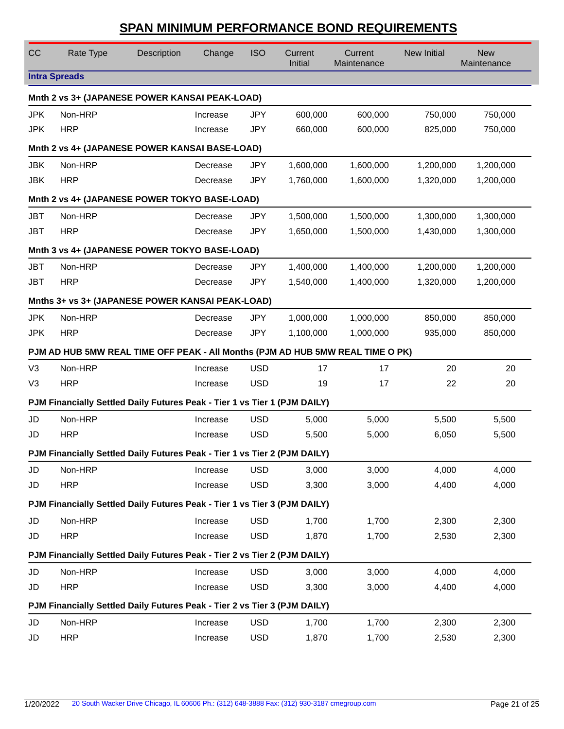| CC             | Rate Type                                                                      | Description | Change   | <b>ISO</b> | Current<br>Initial | Current<br>Maintenance | New Initial | <b>New</b><br>Maintenance |
|----------------|--------------------------------------------------------------------------------|-------------|----------|------------|--------------------|------------------------|-------------|---------------------------|
|                | <b>Intra Spreads</b>                                                           |             |          |            |                    |                        |             |                           |
|                | Mnth 2 vs 3+ (JAPANESE POWER KANSAI PEAK-LOAD)                                 |             |          |            |                    |                        |             |                           |
| <b>JPK</b>     | Non-HRP                                                                        |             | Increase | <b>JPY</b> | 600,000            | 600,000                | 750,000     | 750,000                   |
| <b>JPK</b>     | <b>HRP</b>                                                                     |             | Increase | <b>JPY</b> | 660,000            | 600,000                | 825,000     | 750,000                   |
|                | Mnth 2 vs 4+ (JAPANESE POWER KANSAI BASE-LOAD)                                 |             |          |            |                    |                        |             |                           |
| <b>JBK</b>     | Non-HRP                                                                        |             | Decrease | <b>JPY</b> | 1,600,000          | 1,600,000              | 1,200,000   | 1,200,000                 |
| <b>JBK</b>     | <b>HRP</b>                                                                     |             | Decrease | <b>JPY</b> | 1,760,000          | 1,600,000              | 1,320,000   | 1,200,000                 |
|                | Mnth 2 vs 4+ (JAPANESE POWER TOKYO BASE-LOAD)                                  |             |          |            |                    |                        |             |                           |
| <b>JBT</b>     | Non-HRP                                                                        |             | Decrease | <b>JPY</b> | 1,500,000          | 1,500,000              | 1,300,000   | 1,300,000                 |
| <b>JBT</b>     | <b>HRP</b>                                                                     |             | Decrease | <b>JPY</b> | 1,650,000          | 1,500,000              | 1,430,000   | 1,300,000                 |
|                | Mnth 3 vs 4+ (JAPANESE POWER TOKYO BASE-LOAD)                                  |             |          |            |                    |                        |             |                           |
| <b>JBT</b>     | Non-HRP                                                                        |             | Decrease | <b>JPY</b> | 1,400,000          | 1,400,000              | 1,200,000   | 1,200,000                 |
| <b>JBT</b>     | <b>HRP</b>                                                                     |             | Decrease | <b>JPY</b> | 1,540,000          | 1,400,000              | 1,320,000   | 1,200,000                 |
|                | Mnths 3+ vs 3+ (JAPANESE POWER KANSAI PEAK-LOAD)                               |             |          |            |                    |                        |             |                           |
| <b>JPK</b>     | Non-HRP                                                                        |             | Decrease | <b>JPY</b> | 1,000,000          | 1,000,000              | 850,000     | 850,000                   |
| <b>JPK</b>     | <b>HRP</b>                                                                     |             | Decrease | <b>JPY</b> | 1,100,000          | 1,000,000              | 935,000     | 850,000                   |
|                | PJM AD HUB 5MW REAL TIME OFF PEAK - All Months (PJM AD HUB 5MW REAL TIME O PK) |             |          |            |                    |                        |             |                           |
| V <sub>3</sub> | Non-HRP                                                                        |             | Increase | <b>USD</b> | 17                 | 17                     | 20          | 20                        |
| V3             | <b>HRP</b>                                                                     |             | Increase | <b>USD</b> | 19                 | 17                     | 22          | 20                        |
|                | PJM Financially Settled Daily Futures Peak - Tier 1 vs Tier 1 (PJM DAILY)      |             |          |            |                    |                        |             |                           |
| JD             | Non-HRP                                                                        |             | Increase | <b>USD</b> | 5,000              | 5,000                  | 5,500       | 5,500                     |
| JD             | <b>HRP</b>                                                                     |             | Increase | <b>USD</b> | 5,500              | 5,000                  | 6,050       | 5,500                     |
|                | PJM Financially Settled Daily Futures Peak - Tier 1 vs Tier 2 (PJM DAILY)      |             |          |            |                    |                        |             |                           |
| JD             | Non-HRP                                                                        |             | Increase | <b>USD</b> | 3,000              | 3,000                  | 4,000       | 4,000                     |
| JD             | <b>HRP</b>                                                                     |             | Increase | <b>USD</b> | 3,300              | 3,000                  | 4,400       | 4,000                     |
|                | PJM Financially Settled Daily Futures Peak - Tier 1 vs Tier 3 (PJM DAILY)      |             |          |            |                    |                        |             |                           |
| JD             | Non-HRP                                                                        |             | Increase | <b>USD</b> | 1,700              | 1,700                  | 2,300       | 2,300                     |
| JD             | <b>HRP</b>                                                                     |             | Increase | <b>USD</b> | 1,870              | 1,700                  | 2,530       | 2,300                     |
|                | PJM Financially Settled Daily Futures Peak - Tier 2 vs Tier 2 (PJM DAILY)      |             |          |            |                    |                        |             |                           |
| JD             | Non-HRP                                                                        |             | Increase | <b>USD</b> | 3,000              | 3,000                  | 4,000       | 4,000                     |
| JD             | <b>HRP</b>                                                                     |             | Increase | <b>USD</b> | 3,300              | 3,000                  | 4,400       | 4,000                     |
|                | PJM Financially Settled Daily Futures Peak - Tier 2 vs Tier 3 (PJM DAILY)      |             |          |            |                    |                        |             |                           |
| JD             | Non-HRP                                                                        |             | Increase | <b>USD</b> | 1,700              | 1,700                  | 2,300       | 2,300                     |
| JD             | <b>HRP</b>                                                                     |             | Increase | <b>USD</b> | 1,870              | 1,700                  | 2,530       | 2,300                     |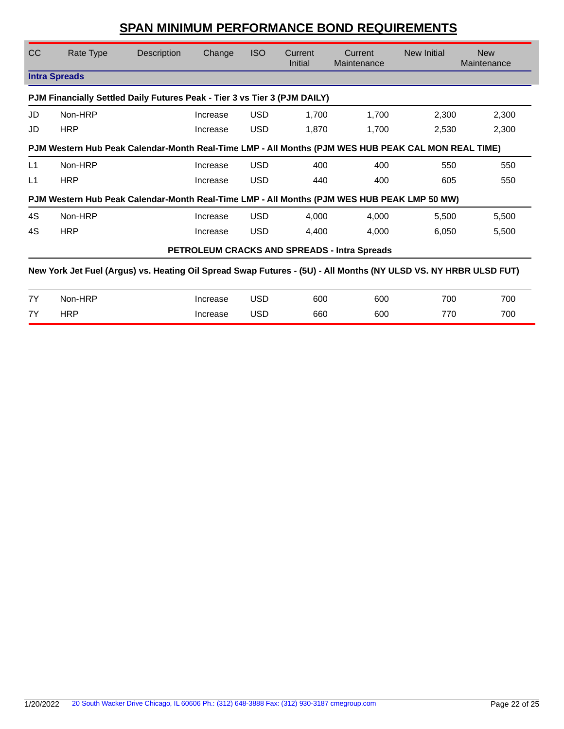| <b>CC</b>     | Rate Type                                                                                                        | Description | Change                                                                                                                                                                                                                        | <b>ISO</b> | Current<br>Initial | Current<br>Maintenance                       | New Initial              | <b>New</b><br>Maintenance |
|---------------|------------------------------------------------------------------------------------------------------------------|-------------|-------------------------------------------------------------------------------------------------------------------------------------------------------------------------------------------------------------------------------|------------|--------------------|----------------------------------------------|--------------------------|---------------------------|
|               | <b>Intra Spreads</b>                                                                                             |             |                                                                                                                                                                                                                               |            |                    |                                              |                          |                           |
|               | PJM Financially Settled Daily Futures Peak - Tier 3 vs Tier 3 (PJM DAILY)                                        |             |                                                                                                                                                                                                                               |            |                    |                                              |                          |                           |
| JD            | Non-HRP                                                                                                          |             | Increase                                                                                                                                                                                                                      | <b>USD</b> | 1,700              | 1,700                                        | 2,300                    | 2,300                     |
| JD            | <b>HRP</b>                                                                                                       |             | Increase                                                                                                                                                                                                                      | USD        | 1,870              | 1,700                                        | 2,530                    | 2,300                     |
|               | PJM Western Hub Peak Calendar-Month Real-Time LMP - All Months (PJM WES HUB PEAK CAL MON REAL TIME)              |             |                                                                                                                                                                                                                               |            |                    |                                              |                          |                           |
| L1            | Non-HRP                                                                                                          |             | Increase                                                                                                                                                                                                                      | <b>USD</b> | 400                | 400                                          | 550                      | 550                       |
| L1            | <b>HRP</b>                                                                                                       |             | Increase                                                                                                                                                                                                                      | <b>USD</b> | 440                | 400                                          | 605                      | 550                       |
|               | PJM Western Hub Peak Calendar-Month Real-Time LMP - All Months (PJM WES HUB PEAK LMP 50 MW)                      |             |                                                                                                                                                                                                                               |            |                    |                                              |                          |                           |
| 4S            | Non-HRP                                                                                                          |             | Increase                                                                                                                                                                                                                      | <b>USD</b> | 4,000              | 4,000                                        | 5,500                    | 5,500                     |
| 4S            | <b>HRP</b>                                                                                                       |             | Increase                                                                                                                                                                                                                      | <b>USD</b> | 4,400              | 4,000                                        | 6,050                    | 5,500                     |
|               |                                                                                                                  |             |                                                                                                                                                                                                                               |            |                    | PETROLEUM CRACKS AND SPREADS - Intra Spreads |                          |                           |
|               | New York Jet Fuel (Argus) vs. Heating Oil Spread Swap Futures - (5U) - All Months (NY ULSD VS. NY HRBR ULSD FUT) |             |                                                                                                                                                                                                                               |            |                    |                                              |                          |                           |
| $\rightarrow$ | $M = 1100$                                                                                                       |             | the concern of the control of the control of the control of the control of the control of the control of the control of the control of the control of the control of the control of the control of the control of the control | $\sqrt{2}$ | $\sim$             | $\sim$                                       | $\overline{\phantom{a}}$ | $\overline{\phantom{a}}$  |

| 7V<br>. .          | Non-HRP    | 'ncrease | USD | 600 | 600 | 700        | 700 |
|--------------------|------------|----------|-----|-----|-----|------------|-----|
| 7V<br>$\mathbf{r}$ | <b>HRP</b> | 'ncrease | JSD | 660 | 600 | 77C<br>___ | 700 |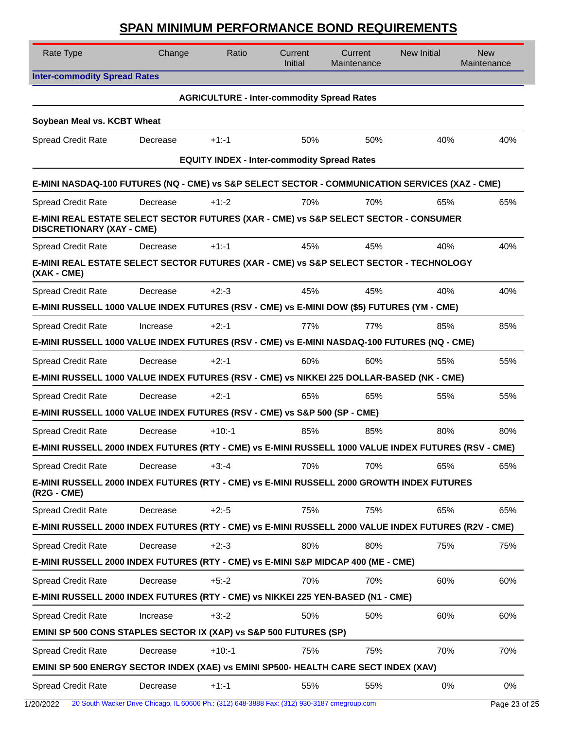| Rate Type                                                                                                                | Change   | Ratio                                              | Current<br><b>Initial</b> | Current<br>Maintenance | <b>New Initial</b> | <b>New</b><br>Maintenance |
|--------------------------------------------------------------------------------------------------------------------------|----------|----------------------------------------------------|---------------------------|------------------------|--------------------|---------------------------|
| <b>Inter-commodity Spread Rates</b>                                                                                      |          |                                                    |                           |                        |                    |                           |
|                                                                                                                          |          | <b>AGRICULTURE - Inter-commodity Spread Rates</b>  |                           |                        |                    |                           |
| Soybean Meal vs. KCBT Wheat                                                                                              |          |                                                    |                           |                        |                    |                           |
| <b>Spread Credit Rate</b>                                                                                                | Decrease | $+1:1$                                             | 50%                       | 50%                    | 40%                | 40%                       |
|                                                                                                                          |          | <b>EQUITY INDEX - Inter-commodity Spread Rates</b> |                           |                        |                    |                           |
| E-MINI NASDAQ-100 FUTURES (NQ - CME) vs S&P SELECT SECTOR - COMMUNICATION SERVICES (XAZ - CME)                           |          |                                                    |                           |                        |                    |                           |
| <b>Spread Credit Rate</b>                                                                                                | Decrease | $+1:2$                                             | 70%                       | 70%                    | 65%                | 65%                       |
| E-MINI REAL ESTATE SELECT SECTOR FUTURES (XAR - CME) vs S&P SELECT SECTOR - CONSUMER<br><b>DISCRETIONARY (XAY - CME)</b> |          |                                                    |                           |                        |                    |                           |
| Spread Credit Rate                                                                                                       | Decrease | $+1:1$                                             | 45%                       | 45%                    | 40%                | 40%                       |
| E-MINI REAL ESTATE SELECT SECTOR FUTURES (XAR - CME) vs S&P SELECT SECTOR - TECHNOLOGY<br>(XAK - CME)                    |          |                                                    |                           |                        |                    |                           |
| <b>Spread Credit Rate</b>                                                                                                | Decrease | $+2:3$                                             | 45%                       | 45%                    | 40%                | 40%                       |
| E-MINI RUSSELL 1000 VALUE INDEX FUTURES (RSV - CME) vs E-MINI DOW (\$5) FUTURES (YM - CME)                               |          |                                                    |                           |                        |                    |                           |
| <b>Spread Credit Rate</b>                                                                                                | Increase | $+2: -1$                                           | 77%                       | 77%                    | 85%                | 85%                       |
| E-MINI RUSSELL 1000 VALUE INDEX FUTURES (RSV - CME) vs E-MINI NASDAQ-100 FUTURES (NQ - CME)                              |          |                                                    |                           |                        |                    |                           |
| <b>Spread Credit Rate</b>                                                                                                | Decrease | $+2:1$                                             | 60%                       | 60%                    | 55%                | 55%                       |
| E-MINI RUSSELL 1000 VALUE INDEX FUTURES (RSV - CME) vs NIKKEI 225 DOLLAR-BASED (NK - CME)                                |          |                                                    |                           |                        |                    |                           |
| <b>Spread Credit Rate</b>                                                                                                | Decrease | $+2:1$                                             | 65%                       | 65%                    | 55%                | 55%                       |
| E-MINI RUSSELL 1000 VALUE INDEX FUTURES (RSV - CME) vs S&P 500 (SP - CME)                                                |          |                                                    |                           |                        |                    |                           |
| <b>Spread Credit Rate</b>                                                                                                | Decrease | $+10: -1$                                          | 85%                       | 85%                    | 80%                | 80%                       |
| E-MINI RUSSELL 2000 INDEX FUTURES (RTY - CME) vs E-MINI RUSSELL 1000 VALUE INDEX FUTURES (RSV - CME)                     |          |                                                    |                           |                        |                    |                           |
| <b>Spread Credit Rate</b>                                                                                                | Decrease | $+3:4$                                             | 70%                       | 70%                    | 65%                | 65%                       |
| E-MINI RUSSELL 2000 INDEX FUTURES (RTY - CME) vs E-MINI RUSSELL 2000 GROWTH INDEX FUTURES<br>(R2G - CME)                 |          |                                                    |                           |                        |                    |                           |
| <b>Spread Credit Rate</b>                                                                                                | Decrease | $+2: -5$                                           | 75%                       | 75%                    | 65%                | 65%                       |
| E-MINI RUSSELL 2000 INDEX FUTURES (RTY - CME) vs E-MINI RUSSELL 2000 VALUE INDEX FUTURES (R2V - CME)                     |          |                                                    |                           |                        |                    |                           |
| <b>Spread Credit Rate</b>                                                                                                | Decrease | $+2:3$                                             | 80%                       | 80%                    | 75%                | 75%                       |
| E-MINI RUSSELL 2000 INDEX FUTURES (RTY - CME) vs E-MINI S&P MIDCAP 400 (ME - CME)                                        |          |                                                    |                           |                        |                    |                           |
| <b>Spread Credit Rate</b>                                                                                                | Decrease | $+5:2$                                             | 70%                       | 70%                    | 60%                | 60%                       |
| E-MINI RUSSELL 2000 INDEX FUTURES (RTY - CME) vs NIKKEI 225 YEN-BASED (N1 - CME)                                         |          |                                                    |                           |                        |                    |                           |
| <b>Spread Credit Rate</b>                                                                                                | Increase | $+3:2$                                             | 50%                       | 50%                    | 60%                | 60%                       |
| <b>EMINI SP 500 CONS STAPLES SECTOR IX (XAP) vs S&amp;P 500 FUTURES (SP)</b>                                             |          |                                                    |                           |                        |                    |                           |
| <b>Spread Credit Rate</b>                                                                                                | Decrease | $+10:-1$                                           | 75%                       | 75%                    | 70%                | 70%                       |
| EMINI SP 500 ENERGY SECTOR INDEX (XAE) vs EMINI SP500- HEALTH CARE SECT INDEX (XAV)                                      |          |                                                    |                           |                        |                    |                           |
| <b>Spread Credit Rate</b>                                                                                                | Decrease | $+1: -1$                                           | 55%                       | 55%                    | 0%                 | 0%                        |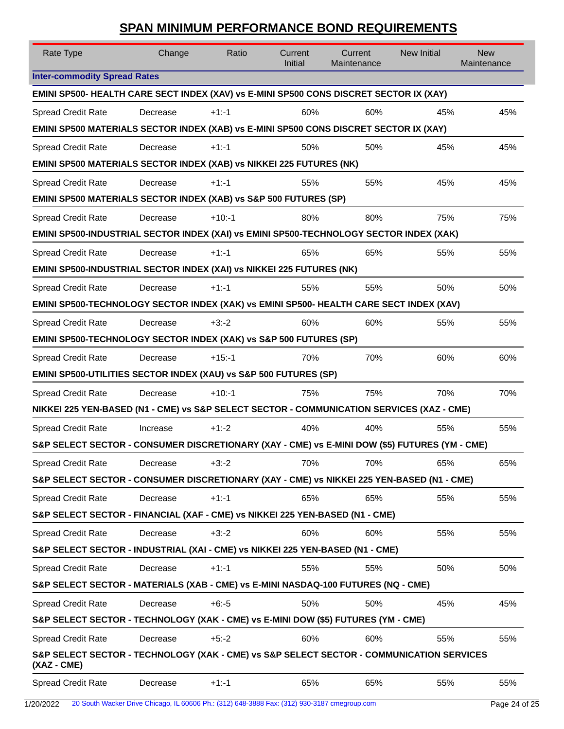| Rate Type                                                                                               | Change   | Ratio     | Current<br>Initial | Current<br>Maintenance | <b>New Initial</b> | <b>New</b><br>Maintenance |
|---------------------------------------------------------------------------------------------------------|----------|-----------|--------------------|------------------------|--------------------|---------------------------|
| <b>Inter-commodity Spread Rates</b>                                                                     |          |           |                    |                        |                    |                           |
| EMINI SP500- HEALTH CARE SECT INDEX (XAV) vs E-MINI SP500 CONS DISCRET SECTOR IX (XAY)                  |          |           |                    |                        |                    |                           |
| <b>Spread Credit Rate</b>                                                                               | Decrease | $+1:1$    | 60%                | 60%                    | 45%                | 45%                       |
| EMINI SP500 MATERIALS SECTOR INDEX (XAB) vs E-MINI SP500 CONS DISCRET SECTOR IX (XAY)                   |          |           |                    |                        |                    |                           |
| <b>Spread Credit Rate</b>                                                                               | Decrease | $+1:1$    | 50%                | 50%                    | 45%                | 45%                       |
| EMINI SP500 MATERIALS SECTOR INDEX (XAB) vs NIKKEI 225 FUTURES (NK)                                     |          |           |                    |                        |                    |                           |
| <b>Spread Credit Rate</b>                                                                               | Decrease | $+1:1$    | 55%                | 55%                    | 45%                | 45%                       |
| EMINI SP500 MATERIALS SECTOR INDEX (XAB) vs S&P 500 FUTURES (SP)                                        |          |           |                    |                        |                    |                           |
| <b>Spread Credit Rate</b>                                                                               | Decrease | $+10:-1$  | 80%                | 80%                    | 75%                | 75%                       |
| EMINI SP500-INDUSTRIAL SECTOR INDEX (XAI) vs EMINI SP500-TECHNOLOGY SECTOR INDEX (XAK)                  |          |           |                    |                        |                    |                           |
| <b>Spread Credit Rate</b>                                                                               | Decrease | $+1:1$    | 65%                | 65%                    | 55%                | 55%                       |
| EMINI SP500-INDUSTRIAL SECTOR INDEX (XAI) vs NIKKEI 225 FUTURES (NK)                                    |          |           |                    |                        |                    |                           |
| <b>Spread Credit Rate</b>                                                                               | Decrease | $+1:1$    | 55%                | 55%                    | 50%                | 50%                       |
| EMINI SP500-TECHNOLOGY SECTOR INDEX (XAK) vs EMINI SP500- HEALTH CARE SECT INDEX (XAV)                  |          |           |                    |                        |                    |                           |
| <b>Spread Credit Rate</b>                                                                               | Decrease | $+3:2$    | 60%                | 60%                    | 55%                | 55%                       |
| EMINI SP500-TECHNOLOGY SECTOR INDEX (XAK) vs S&P 500 FUTURES (SP)                                       |          |           |                    |                        |                    |                           |
| <b>Spread Credit Rate</b>                                                                               | Decrease | $+15: -1$ | 70%                | 70%                    | 60%                | 60%                       |
| EMINI SP500-UTILITIES SECTOR INDEX (XAU) vs S&P 500 FUTURES (SP)                                        |          |           |                    |                        |                    |                           |
| Spread Credit Rate                                                                                      | Decrease | $+10: -1$ | 75%                | 75%                    | 70%                | 70%                       |
| NIKKEI 225 YEN-BASED (N1 - CME) vs S&P SELECT SECTOR - COMMUNICATION SERVICES (XAZ - CME)               |          |           |                    |                        |                    |                           |
| <b>Spread Credit Rate</b>                                                                               | Increase | $+1:2$    | 40%                | 40%                    | 55%                | 55%                       |
| S&P SELECT SECTOR - CONSUMER DISCRETIONARY (XAY - CME) vs E-MINI DOW (\$5) FUTURES (YM - CME)           |          |           |                    |                        |                    |                           |
| <b>Spread Credit Rate</b>                                                                               | Decrease | $+3:2$    | 70%                | 70%                    | 65%                | 65%                       |
| S&P SELECT SECTOR - CONSUMER DISCRETIONARY (XAY - CME) vs NIKKEI 225 YEN-BASED (N1 - CME)               |          |           |                    |                        |                    |                           |
| <b>Spread Credit Rate</b>                                                                               | Decrease | $+1: -1$  | 65%                | 65%                    | 55%                | 55%                       |
| S&P SELECT SECTOR - FINANCIAL (XAF - CME) vs NIKKEI 225 YEN-BASED (N1 - CME)                            |          |           |                    |                        |                    |                           |
| <b>Spread Credit Rate</b>                                                                               | Decrease | $+3:2$    | 60%                | 60%                    | 55%                | 55%                       |
| S&P SELECT SECTOR - INDUSTRIAL (XAI - CME) vs NIKKEI 225 YEN-BASED (N1 - CME)                           |          |           |                    |                        |                    |                           |
| <b>Spread Credit Rate</b>                                                                               | Decrease | $+1: -1$  | 55%                | 55%                    | 50%                | 50%                       |
| S&P SELECT SECTOR - MATERIALS (XAB - CME) vs E-MINI NASDAQ-100 FUTURES (NQ - CME)                       |          |           |                    |                        |                    |                           |
| <b>Spread Credit Rate</b>                                                                               | Decrease | $+6: -5$  | 50%                | 50%                    | 45%                | 45%                       |
| S&P SELECT SECTOR - TECHNOLOGY (XAK - CME) vs E-MINI DOW (\$5) FUTURES (YM - CME)                       |          |           |                    |                        |                    |                           |
| <b>Spread Credit Rate</b>                                                                               | Decrease | $+5:2$    | 60%                | 60%                    | 55%                | 55%                       |
|                                                                                                         |          |           |                    |                        |                    |                           |
| S&P SELECT SECTOR - TECHNOLOGY (XAK - CME) vs S&P SELECT SECTOR - COMMUNICATION SERVICES<br>(XAZ - CME) |          |           |                    |                        |                    |                           |